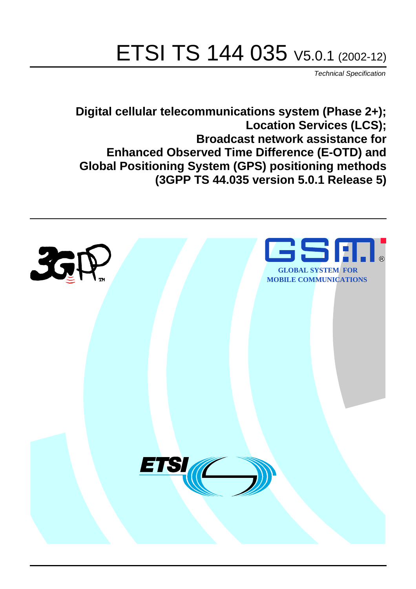# ETSI TS 144 035 V5.0.1 (2002-12)

Technical Specification

**Digital cellular telecommunications system (Phase 2+); Location Services (LCS); Broadcast network assistance for Enhanced Observed Time Difference (E-OTD) and Global Positioning System (GPS) positioning methods (3GPP TS 44.035 version 5.0.1 Release 5)**

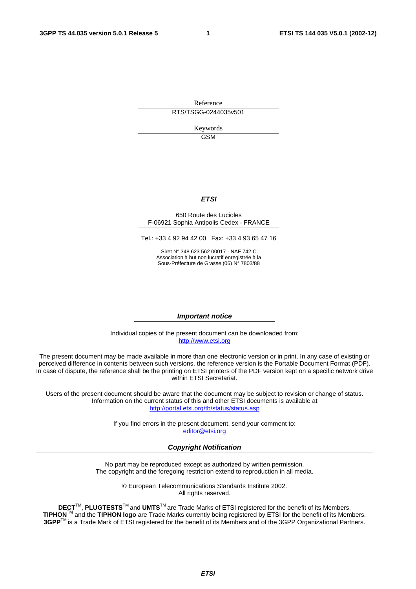Reference RTS/TSGG-0244035v501

> Keywords GSM

### **ETSI**

#### 650 Route des Lucioles F-06921 Sophia Antipolis Cedex - FRANCE

Tel.: +33 4 92 94 42 00 Fax: +33 4 93 65 47 16

Siret N° 348 623 562 00017 - NAF 742 C Association à but non lucratif enregistrée à la Sous-Préfecture de Grasse (06) N° 7803/88

#### **Important notice**

Individual copies of the present document can be downloaded from: [http://www.etsi.org](http://www.etsi.org/)

The present document may be made available in more than one electronic version or in print. In any case of existing or perceived difference in contents between such versions, the reference version is the Portable Document Format (PDF). In case of dispute, the reference shall be the printing on ETSI printers of the PDF version kept on a specific network drive within ETSI Secretariat.

Users of the present document should be aware that the document may be subject to revision or change of status. Information on the current status of this and other ETSI documents is available at <http://portal.etsi.org/tb/status/status.asp>

> If you find errors in the present document, send your comment to: [editor@etsi.org](mailto:editor@etsi.org)

#### **Copyright Notification**

No part may be reproduced except as authorized by written permission. The copyright and the foregoing restriction extend to reproduction in all media.

> © European Telecommunications Standards Institute 2002. All rights reserved.

**DECT**TM, **PLUGTESTS**TM and **UMTS**TM are Trade Marks of ETSI registered for the benefit of its Members. **TIPHON**TM and the **TIPHON logo** are Trade Marks currently being registered by ETSI for the benefit of its Members. **3GPP**TM is a Trade Mark of ETSI registered for the benefit of its Members and of the 3GPP Organizational Partners.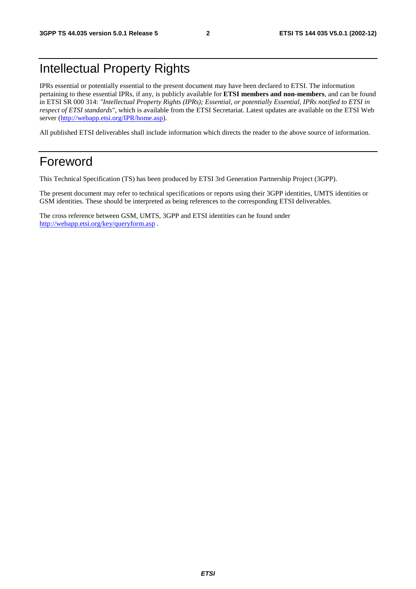# Intellectual Property Rights

IPRs essential or potentially essential to the present document may have been declared to ETSI. The information pertaining to these essential IPRs, if any, is publicly available for **ETSI members and non-members**, and can be found in ETSI SR 000 314: *"Intellectual Property Rights (IPRs); Essential, or potentially Essential, IPRs notified to ETSI in respect of ETSI standards"*, which is available from the ETSI Secretariat. Latest updates are available on the ETSI Web server ([http://webapp.etsi.org/IPR/home.asp\)](http://webapp.etsi.org/IPR/home.asp).

All published ETSI deliverables shall include information which directs the reader to the above source of information.

# Foreword

This Technical Specification (TS) has been produced by ETSI 3rd Generation Partnership Project (3GPP).

The present document may refer to technical specifications or reports using their 3GPP identities, UMTS identities or GSM identities. These should be interpreted as being references to the corresponding ETSI deliverables.

The cross reference between GSM, UMTS, 3GPP and ETSI identities can be found under <http://webapp.etsi.org/key/queryform.asp>.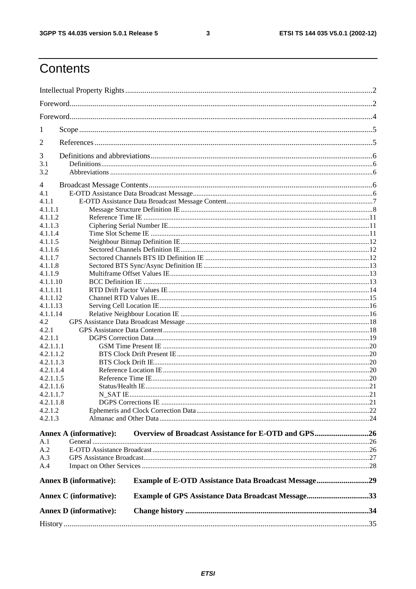$\mathbf{3}$ 

# Contents

| <b>Annex D</b> (informative): |                                                             |  |
|-------------------------------|-------------------------------------------------------------|--|
| <b>Annex C</b> (informative): | <b>Example of GPS Assistance Data Broadcast Message33</b>   |  |
| <b>Annex B</b> (informative): | <b>Example of E-OTD Assistance Data Broadcast Message29</b> |  |
| A.4                           |                                                             |  |
| A.3                           |                                                             |  |
| A.2                           |                                                             |  |
| A.1                           |                                                             |  |
| <b>Annex A (informative):</b> | Overview of Broadcast Assistance for E-OTD and GPS26        |  |
| 4.2.1.3                       |                                                             |  |
| 4.2.1.2                       |                                                             |  |
| 4.2.1.1.8                     |                                                             |  |
| 4.2.1.1.7                     |                                                             |  |
| 4.2.1.1.6                     |                                                             |  |
| 4.2.1.1.5                     |                                                             |  |
| 4.2.1.1.4                     |                                                             |  |
| 4.2.1.1.3                     |                                                             |  |
| 4.2.1.1.1<br>4.2.1.1.2        |                                                             |  |
| 4.2.1.1                       |                                                             |  |
| 4.2.1                         |                                                             |  |
| 4.2                           |                                                             |  |
| 4.1.1.14                      |                                                             |  |
| 4.1.1.13                      |                                                             |  |
| 4.1.1.12                      |                                                             |  |
| 4.1.1.11                      |                                                             |  |
| 4.1.1.10                      |                                                             |  |
| 4.1.1.9                       |                                                             |  |
| 4.1.1.8                       |                                                             |  |
| 4.1.1.7                       |                                                             |  |
| 4.1.1.5<br>4.1.1.6            |                                                             |  |
| 4.1.1.4                       |                                                             |  |
| 4.1.1.3                       |                                                             |  |
| 4.1.1.2                       |                                                             |  |
| 4.1.1.1                       |                                                             |  |
| 4.1.1                         |                                                             |  |
| 4.1                           |                                                             |  |
| 4                             |                                                             |  |
| 3.2                           |                                                             |  |
| 3.1                           |                                                             |  |
| 3                             |                                                             |  |
| 2                             |                                                             |  |
| 1                             |                                                             |  |
|                               |                                                             |  |
|                               |                                                             |  |
|                               |                                                             |  |
|                               |                                                             |  |
|                               |                                                             |  |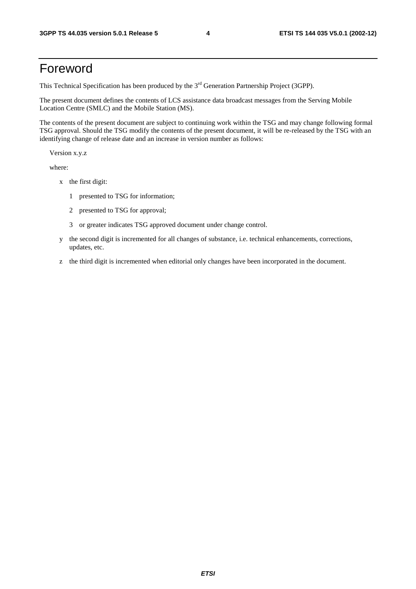# Foreword

This Technical Specification has been produced by the 3<sup>rd</sup> Generation Partnership Project (3GPP).

The present document defines the contents of LCS assistance data broadcast messages from the Serving Mobile Location Centre (SMLC) and the Mobile Station (MS).

The contents of the present document are subject to continuing work within the TSG and may change following formal TSG approval. Should the TSG modify the contents of the present document, it will be re-released by the TSG with an identifying change of release date and an increase in version number as follows:

Version x.y.z

where:

- x the first digit:
	- 1 presented to TSG for information;
	- 2 presented to TSG for approval;
	- 3 or greater indicates TSG approved document under change control.
- y the second digit is incremented for all changes of substance, i.e. technical enhancements, corrections, updates, etc.
- z the third digit is incremented when editorial only changes have been incorporated in the document.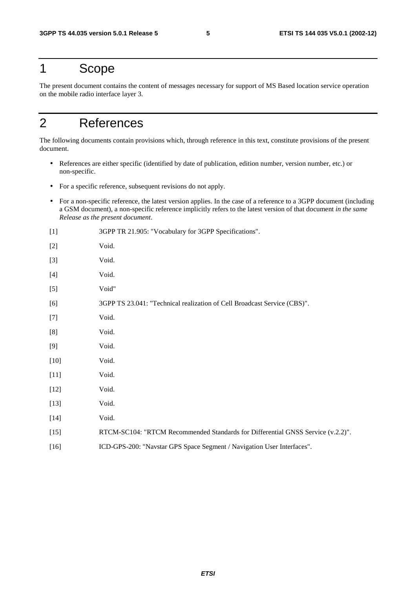# 1 Scope

The present document contains the content of messages necessary for support of MS Based location service operation on the mobile radio interface layer 3.

# 2 References

The following documents contain provisions which, through reference in this text, constitute provisions of the present document.

- References are either specific (identified by date of publication, edition number, version number, etc.) or non-specific.
- For a specific reference, subsequent revisions do not apply.
- For a non-specific reference, the latest version applies. In the case of a reference to a 3GPP document (including a GSM document), a non-specific reference implicitly refers to the latest version of that document *in the same Release as the present document*.
- [1] 3GPP TR 21.905: "Vocabulary for 3GPP Specifications". [2] Void. [3] Void. [4] Void. [5] Void" [6] 3GPP TS 23.041: "Technical realization of Cell Broadcast Service (CBS)". [7] Void. [8] Void. [9] Void. [10] **Void.** [11] **Void.** [12] **Void.** [13] **Void.** [14] Void. [15] RTCM-SC104: "RTCM Recommended Standards for Differential GNSS Service (v.2.2)". [16] ICD-GPS-200: "Navstar GPS Space Segment / Navigation User Interfaces".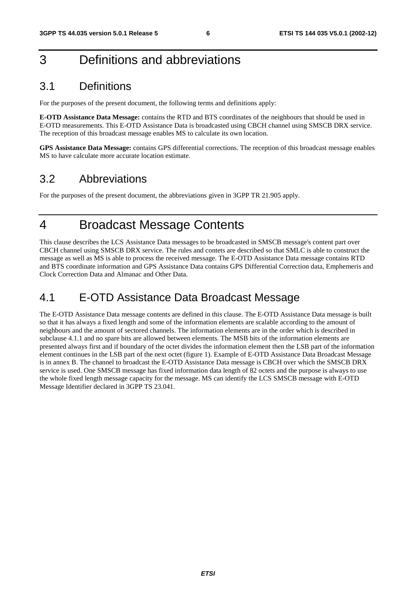# 3 Definitions and abbreviations

# 3.1 Definitions

For the purposes of the present document, the following terms and definitions apply:

**E-OTD Assistance Data Message:** contains the RTD and BTS coordinates of the neighbours that should be used in E-OTD measurements. This E-OTD Assistance Data is broadcasted using CBCH channel using SMSCB DRX service. The reception of this broadcast message enables MS to calculate its own location.

**GPS Assistance Data Message:** contains GPS differential corrections. The reception of this broadcast message enables MS to have calculate more accurate location estimate.

# 3.2 Abbreviations

For the purposes of the present document, the abbreviations given in 3GPP TR 21.905 apply.

# 4 Broadcast Message Contents

This clause describes the LCS Assistance Data messages to be broadcasted in SMSCB message's content part over CBCH channel using SMSCB DRX service. The rules and contets are described so that SMLC is able to construct the message as well as MS is able to process the received message. The E-OTD Assistance Data message contains RTD and BTS coordinate information and GPS Assistance Data contains GPS Differential Correction data, Emphemeris and Clock Correction Data and Almanac and Other Data.

# 4.1 E-OTD Assistance Data Broadcast Message

The E-OTD Assistance Data message contents are defined in this clause. The E-OTD Assistance Data message is built so that it has always a fixed length and some of the information elements are scalable according to the amount of neighbours and the amount of sectored channels. The information elements are in the order which is described in subclause 4.1.1 and no spare bits are allowed between elements. The MSB bits of the information elements are presented always first and if boundary of the octet divides the information element then the LSB part of the information element continues in the LSB part of the next octet (figure 1). Example of E-OTD Assistance Data Broadcast Message is in annex B. The channel to broadcast the E-OTD Assistance Data message is CBCH over which the SMSCB DRX service is used. One SMSCB message has fixed information data length of 82 octets and the purpose is always to use the whole fixed length message capacity for the message. MS can identify the LCS SMSCB message with E-OTD Message Identifier declared in 3GPP TS 23.041.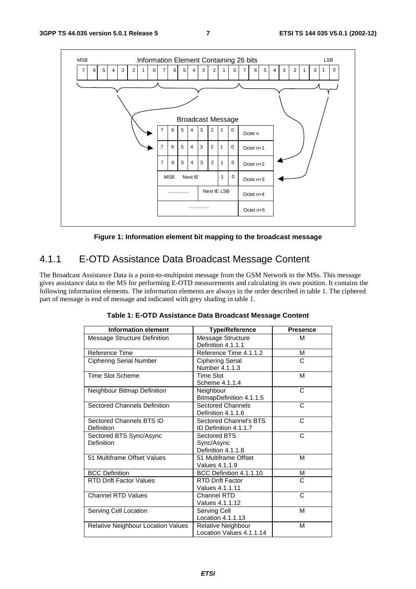

**Figure 1: Information element bit mapping to the broadcast message** 

# 4.1.1 E-OTD Assistance Data Broadcast Message Content

The Broadcast Assistance Data is a point-to-multipoint message from the GSM Network to the MSs. This message gives assistance data to the MS for performing E-OTD measurements and calculating its own position. It contains the following information elements. The information elements are always in the order described in table 1. The ciphered part of message is end of message and indicated with grey shading in table 1.

| <b>Information element</b>             | <b>Type/Reference</b>                            | <b>Presence</b> |
|----------------------------------------|--------------------------------------------------|-----------------|
| <b>Message Structure Definition</b>    | Message Structure<br>Definition 4.1.1.1          | M               |
| Reference Time                         | Reference Time 4.1.1.2                           | М               |
| <b>Ciphering Serial Number</b>         | <b>Ciphering Serial</b><br>Number 4.1.1.3        | C               |
| <b>Time Slot Scheme</b>                | <b>Time Slot</b><br>Scheme 4.1.1.4               | М               |
| Neighbour Bitmap Definition            | Neighbour<br>BitmapDefinition 4.1.1.5            | C               |
| <b>Sectored Channels Definition</b>    | <b>Sectored Channels</b><br>Definition 4.1.1.6   | C               |
| Sectored Channels BTS ID<br>Definition | Sectored Channel's BTS<br>ID Definition 4.1.1.7  | C               |
| Sectored BTS Sync/Async<br>Definition  | Sectored BTS<br>Sync/Async<br>Definition 4.1.1.8 | C               |
| 51 Multiframe Offset Values            | 51 Multiframe Offset<br>Values 4.1.1.9           | M               |
| <b>BCC Definition</b>                  | BCC Definition 4.1.1.10                          | М               |
| <b>RTD Drift Factor Values</b>         | <b>RTD Drift Factor</b><br>Values 4.1.1.11       | C               |
| <b>Channel RTD Values</b>              | Channel RTD<br>Values 4.1.1.12                   | C               |
| Serving Cell Location                  | Serving Cell<br>Location 4.1.1.13                | M               |
| Relative Neighbour Location Values     | Relative Neighbour<br>Location Values 4.1.1.14   | М               |

**Table 1: E-OTD Assistance Data Broadcast Message Content**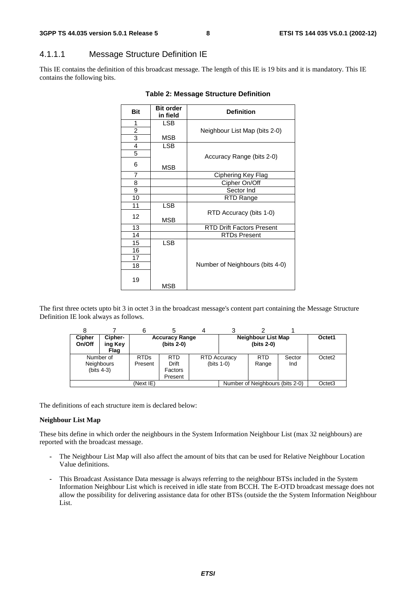# 4.1.1.1 Message Structure Definition IE

This IE contains the definition of this broadcast message. The length of this IE is 19 bits and it is mandatory. This IE contains the following bits.

| <b>Bit</b>     | <b>Bit order</b><br>in field | <b>Definition</b>                |  |  |
|----------------|------------------------------|----------------------------------|--|--|
| 1              | LSB                          |                                  |  |  |
| $\overline{2}$ |                              | Neighbour List Map (bits 2-0)    |  |  |
| 3              | MSB                          |                                  |  |  |
| $\overline{4}$ | <b>LSB</b>                   |                                  |  |  |
| 5              |                              | Accuracy Range (bits 2-0)        |  |  |
| 6              | <b>MSB</b>                   |                                  |  |  |
| $\overline{7}$ |                              | Ciphering Key Flag               |  |  |
| 8              |                              | Cipher On/Off                    |  |  |
| 9              |                              | Sector Ind                       |  |  |
| 10             |                              | RTD Range                        |  |  |
| 11             | <b>LSB</b>                   |                                  |  |  |
| 12             | MSB                          | RTD Accuracy (bits 1-0)          |  |  |
| 13             |                              | <b>RTD Drift Factors Present</b> |  |  |
| 14             |                              | <b>RTDs Present</b>              |  |  |
| 15             | <b>LSB</b>                   |                                  |  |  |
| 16             |                              |                                  |  |  |
| 17             |                              |                                  |  |  |
| 18             |                              | Number of Neighbours (bits 4-0)  |  |  |
| 19             | MSB                          |                                  |  |  |

#### **Table 2: Message Structure Definition**

The first three octets upto bit 3 in octet 3 in the broadcast message's content part containing the Message Structure Definition IE look always as follows.

|                         |                                                | 6                                     |                                       |  |                                           |                                 |               |                    |
|-------------------------|------------------------------------------------|---------------------------------------|---------------------------------------|--|-------------------------------------------|---------------------------------|---------------|--------------------|
| <b>Cipher</b><br>On/Off | Cipher-<br>ing Key<br>Flag                     | <b>Accuracy Range</b><br>$(bits 2-0)$ |                                       |  | <b>Neighbour List Map</b><br>$(bits 2-0)$ |                                 | Octet1        |                    |
|                         | Number of<br><b>Neighbours</b><br>$(bits 4-3)$ | <b>RTDs</b><br>Present                | <b>RTD</b><br><b>Drift</b><br>Factors |  | <b>RTD Accuracy</b><br>$(bits 1-0)$       | <b>RTD</b><br>Range             | Sector<br>Ind | Octet <sub>2</sub> |
|                         |                                                | (Next IE)                             | Present                               |  |                                           | Number of Neighbours (bits 2-0) |               | Octet <sub>3</sub> |

The definitions of each structure item is declared below:

#### **Neighbour List Map**

These bits define in which order the neighbours in the System Information Neighbour List (max 32 neighbours) are reported with the broadcast message.

- The Neighbour List Map will also affect the amount of bits that can be used for Relative Neighbour Location Value definitions.
- This Broadcast Assistance Data message is always referring to the neighbour BTSs included in the System Information Neighbour List which is received in idle state from BCCH. The E-OTD broadcast message does not allow the possibility for delivering assistance data for other BTSs (outside the the System Information Neighbour List.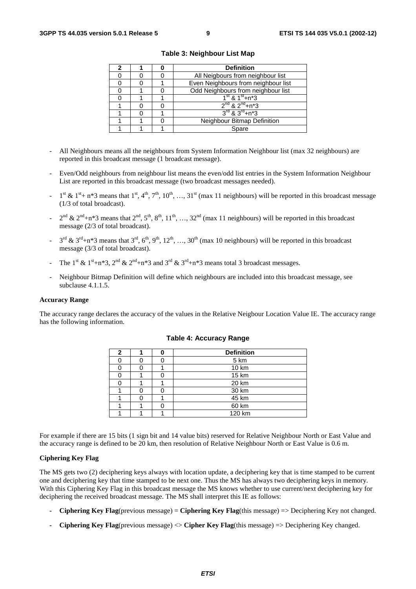|  | <b>Definition</b>                      |  |
|--|----------------------------------------|--|
|  | All Neigbours from neighbour list      |  |
|  | Even Neighbours from neighbour list    |  |
|  | Odd Neighbours from neighbour list     |  |
|  | $1^{\text{st}}$ & $1^{\text{st}}$ +n*3 |  |
|  | $2^{nd}$ & $2^{nd}$ +n*3               |  |
|  | $3^{rd}$ & $3^{rd}$ +n*3               |  |
|  | Neighbour Bitmap Definition            |  |
|  | Spare                                  |  |

**Table 3: Neighbour List Map** 

- All Neighbours means all the neighbours from System Information Neighbour list (max 32 neighbours) are reported in this broadcast message (1 broadcast message).
- Even/Odd neighbours from neighbour list means the even/odd list entries in the System Information Neighbour List are reported in this broadcast message (two broadcast messages needed).
- $1^{\text{st}}$  &  $1^{\text{st}}$  + n\*3 means that  $1^{\text{st}}$ ,  $4^{\text{th}}$ ,  $7^{\text{th}}$ ,  $10^{\text{th}}$ , …,  $31^{\text{st}}$  (max 11 neighbours) will be reported in this broadcast message (1/3 of total broadcast).
- $2^{nd}$  &  $2^{nd}$ +n\*3 means that  $2^{nd}$ ,  $5^{th}$ ,  $8^{th}$ ,  $11^{th}$ , …,  $32^{nd}$  (max 11 neighbours) will be reported in this broadcast message (2/3 of total broadcast).
- $3^{\text{rd}}$  &  $3^{\text{rd}}+n*3$  means that  $3^{\text{rd}}, 6^{\text{th}}, 9^{\text{th}}, 12^{\text{th}}, ..., 30^{\text{th}}$  (max 10 neighbours) will be reported in this broadcast message (3/3 of total broadcast).
- The 1<sup>st</sup> & 1<sup>st</sup>+n\*3, 2<sup>nd</sup> & 2<sup>nd</sup>+n\*3 and 3<sup>rd</sup> & 3<sup>rd</sup>+n\*3 means total 3 broadcast messages.
- Neighbour Bitmap Definition will define which neighbours are included into this broadcast message, see subclause 4.1.1.5.

#### **Accuracy Range**

The accuracy range declares the accuracy of the values in the Relative Neigbour Location Value IE. The accuracy range has the following information.

| $\mathbf{2}$ |  | <b>Definition</b> |
|--------------|--|-------------------|
|              |  | 5 km              |
|              |  | 10 km             |
|              |  | 15 km             |
|              |  | 20 km             |
|              |  | 30 km             |
|              |  | 45 km             |
|              |  | 60 km             |
|              |  | 120 km            |

#### **Table 4: Accuracy Range**

For example if there are 15 bits (1 sign bit and 14 value bits) reserved for Relative Neighbour North or East Value and the accuracy range is defined to be 20 km, then resolution of Relative Neighbour North or East Value is 0.6 m.

#### **Ciphering Key Flag**

The MS gets two (2) deciphering keys always with location update, a deciphering key that is time stamped to be current one and deciphering key that time stamped to be next one. Thus the MS has always two deciphering keys in memory. With this Ciphering Key Flag in this broadcast message the MS knows whether to use current/next deciphering key for deciphering the received broadcast message. The MS shall interpret this IE as follows:

- **Ciphering Key Flag**(previous message) = **Ciphering Key Flag**(this message) => Deciphering Key not changed.
- **Ciphering Key Flag**(previous message) <> **Cipher Key Flag**(this message) => Deciphering Key changed.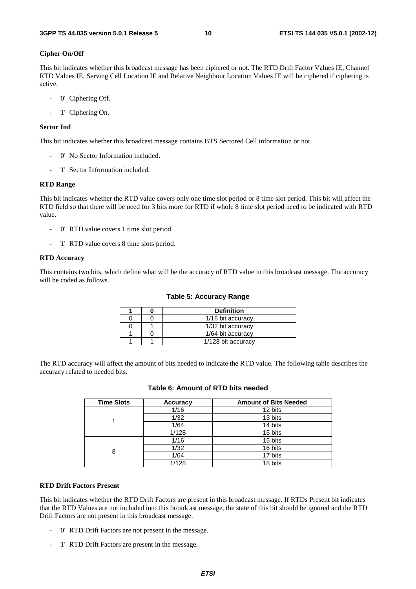#### **Cipher On/Off**

This bit indicates whether this broadcast message has been ciphered or not. The RTD Drift Factor Values IE, Channel RTD Values IE, Serving Cell Location IE and Relative Neighbour Location Values IE will be ciphered if ciphering is active.

- '0' Ciphering Off.
- '1' Ciphering On.

#### **Sector Ind**

This bit indicates whether this broadcast message contains BTS Sectored Cell information or not.

- '0' No Sector Information included.
- '1' Sector Information included.

#### **RTD Range**

This bit indicates whether the RTD value covers only one time slot period or 8 time slot period. This bit will affect the RTD field so that there will be need for 3 bits more for RTD if whole 8 time slot period need to be indicated with RTD value.

- '0' RTD value covers 1 time slot period.
- '1' RTD value covers 8 time slots period.

#### **RTD Accuracy**

This contains two bits, which define what will be the accuracy of RTD value in this broadcast message. The accuracy will be coded as follows.

|  | <b>Definition</b>  |
|--|--------------------|
|  | 1/16 bit accuracy  |
|  | 1/32 bit accuracy  |
|  | 1/64 bit accuracy  |
|  | 1/128 bit accuracy |

The RTD accuracy will affect the amount of bits needed to indicate the RTD value. The following table describes the accuracy related to needed bits.

| <b>Time Slots</b> | <b>Accuracy</b> | <b>Amount of Bits Needed</b> |
|-------------------|-----------------|------------------------------|
|                   | 1/16            | 12 bits                      |
|                   | 1/32            | 13 bits                      |
|                   | 1/64            | 14 bits                      |
|                   | 1/128           | 15 bits                      |
|                   | 1/16            | 15 bits                      |
| 8                 | 1/32            | 16 bits                      |
|                   | 1/64            | 17 bits                      |
|                   | 1/128           | 18 bits                      |

### **Table 6: Amount of RTD bits needed**

#### **RTD Drift Factors Present**

This bit indicates whether the RTD Drift Factors are present in this broadcast message. If RTDs Present bit indicates that the RTD Values are not included into this broadcast message, the state of this bit should be ignored and the RTD Drift Factors are not present in this broadcast message.

- '0' RTD Drift Factors are not present in the message.
- '1' RTD Drift Factors are present in the message.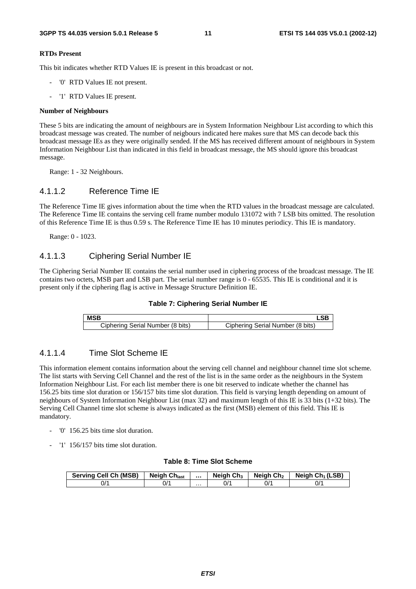#### **RTDs Present**

This bit indicates whether RTD Values IE is present in this broadcast or not.

- '0' RTD Values IE not present.
- '1' RTD Values IE present.

#### **Number of Neighbours**

These 5 bits are indicating the amount of neighbours are in System Information Neighbour List according to which this broadcast message was created. The number of neigbours indicated here makes sure that MS can decode back this broadcast message IEs as they were originally sended. If the MS has received different amount of neighbours in System Information Neighbour List than indicated in this field in broadcast message, the MS should ignore this broadcast message.

Range: 1 - 32 Neighbours.

### 4.1.1.2 Reference Time IE

The Reference Time IE gives information about the time when the RTD values in the broadcast message are calculated. The Reference Time IE contains the serving cell frame number modulo 131072 with 7 LSB bits omitted. The resolution of this Reference Time IE is thus 0.59 s. The Reference Time IE has 10 minutes periodicy. This IE is mandatory.

Range: 0 - 1023.

### 4.1.1.3 Ciphering Serial Number IE

The Ciphering Serial Number IE contains the serial number used in ciphering process of the broadcast message. The IE contains two octets, MSB part and LSB part. The serial number range is 0 - 65535. This IE is conditional and it is present only if the ciphering flag is active in Message Structure Definition IE.



| <b>MSB</b>                       |                                  |
|----------------------------------|----------------------------------|
| Ciphering Serial Number (8 bits) | Ciphering Serial Number (8 bits) |

### 4.1.1.4 Time Slot Scheme IE

This information element contains information about the serving cell channel and neighbour channel time slot scheme. The list starts with Serving Cell Channel and the rest of the list is in the same order as the neighbours in the System Information Neighbour List. For each list member there is one bit reserved to indicate whether the channel has 156.25 bits time slot duration or 156/157 bits time slot duration. This field is varying length depending on amount of neighbours of System Information Neighbour List (max 32) and maximum length of this IE is 33 bits (1+32 bits). The Serving Cell Channel time slot scheme is always indicated as the first (MSB) element of this field. This IE is mandatory.

- '0' 156.25 bits time slot duration.
- '1' 156/157 bits time slot duration.

#### **Table 8: Time Slot Scheme**

| <b>Serving Cell Ch (MSB)</b> | Neigh Ch <sub>last</sub> |   | <b>Neigh Ch<sub>3</sub></b> | Neigh Ch <sub>2</sub> | Neigh Ch <sub>1</sub> (LSB) |
|------------------------------|--------------------------|---|-----------------------------|-----------------------|-----------------------------|
| 1⁄′                          | 0/1                      | . | 0/'                         | 0/1                   | ^/0                         |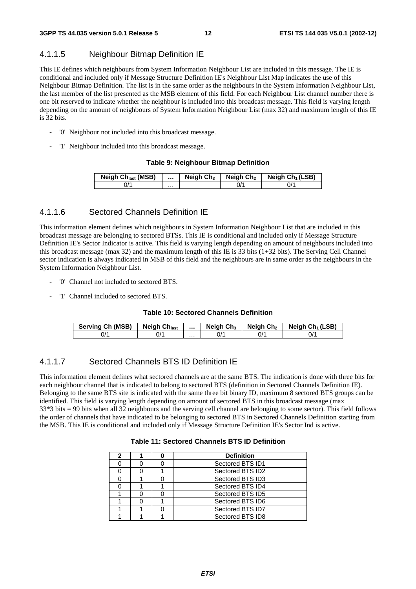# 4.1.1.5 Neighbour Bitmap Definition IE

This IE defines which neighbours from System Information Neighbour List are included in this message. The IE is conditional and included only if Message Structure Definition IE's Neighbour List Map indicates the use of this Neighbour Bitmap Definition. The list is in the same order as the neighbours in the System Information Neighbour List, the last member of the list presented as the MSB element of this field. For each Neighbour List channel number there is one bit reserved to indicate whether the neighbour is included into this broadcast message. This field is varying length depending on the amount of neighbours of System Information Neighbour List (max 32) and maximum length of this IE is 32 bits.

- '0' Neighbour not included into this broadcast message.
- '1' Neighbour included into this broadcast message.

#### **Table 9: Neighbour Bitmap Definition**

| <b>Neigh Ch<sub>last</sub></b> (MSB) |   | Neigh $Ch3$ | Neigh Ch <sub>2</sub> | Neigh $Ch_1(LSB)$ |
|--------------------------------------|---|-------------|-----------------------|-------------------|
| J'                                   | . |             | J/'                   |                   |

# 4.1.1.6 Sectored Channels Definition IE

This information element defines which neighbours in System Information Neighbour List that are included in this broadcast message are belonging to sectored BTSs. This IE is conditional and included only if Message Structure Definition IE's Sector Indicator is active. This field is varying length depending on amount of neighbours included into this broadcast message (max 32) and the maximum length of this IE is 33 bits (1+32 bits). The Serving Cell Channel sector indication is always indicated in MSB of this field and the neighbours are in same order as the neighbours in the System Information Neighbour List.

- '0' Channel not included to sectored BTS.
- '1' Channel included to sectored BTS.

#### **Table 10: Sectored Channels Definition**

| Serving Ch (MSB) | <b>Neigh Chlast</b> |   | Neigh $Ch3$ | Neigh Ch <sub>2</sub> | Neigh Ch <sub>1</sub> (LSB) |
|------------------|---------------------|---|-------------|-----------------------|-----------------------------|
| 0/1              | 0/1                 | . |             | 0/                    | 0/1                         |

# 4.1.1.7 Sectored Channels BTS ID Definition IE

This information element defines what sectored channels are at the same BTS. The indication is done with three bits for each neighbour channel that is indicated to belong to sectored BTS (definition in Sectored Channels Definition IE). Belonging to the same BTS site is indicated with the same three bit binary ID, maximum 8 sectored BTS groups can be identified. This field is varying length depending on amount of sectored BTS in this broadcast message (max 33\*3 bits = 99 bits when all 32 neighbours and the serving cell channel are belonging to some sector). This field follows the order of channels that have indicated to be belonging to sectored BTS in Sectored Channels Definition starting from the MSB. This IE is conditional and included only if Message Structure Definition IE's Sector Ind is active.

#### **Table 11: Sectored Channels BTS ID Definition**

| 2 |  | <b>Definition</b> |
|---|--|-------------------|
|   |  | Sectored BTS ID1  |
|   |  | Sectored BTS ID2  |
|   |  | Sectored BTS ID3  |
|   |  | Sectored BTS ID4  |
|   |  | Sectored BTS ID5  |
|   |  | Sectored BTS ID6  |
|   |  | Sectored BTS ID7  |
|   |  | Sectored BTS ID8  |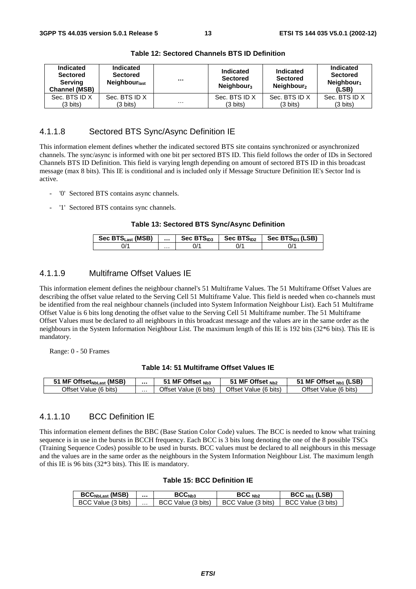| Indicated<br><b>Sectored</b><br>Serving<br><b>Channel (MSB)</b> | <b>Indicated</b><br><b>Sectored</b><br><b>Neighbour</b> <sub>last</sub> | $\cdots$ | <b>Indicated</b><br><b>Sectored</b><br>Neighbour <sub>3</sub> | Indicated<br><b>Sectored</b><br>Neighbour <sub>2</sub> | Indicated<br><b>Sectored</b><br>Neighbour <sub>1</sub><br>(LSB) |
|-----------------------------------------------------------------|-------------------------------------------------------------------------|----------|---------------------------------------------------------------|--------------------------------------------------------|-----------------------------------------------------------------|
| Sec. BTS ID X                                                   | Sec. BTS ID X                                                           |          | Sec. BTS ID X                                                 | Sec. BTS ID X                                          | Sec. BTS ID X                                                   |
| (3 bits)                                                        | (3 bits)                                                                | $\cdots$ | (3 bits)                                                      | (3 bits)                                               | $(3 \text{ bits})$                                              |

**Table 12: Sectored Channels BTS ID Definition** 

# 4.1.1.8 Sectored BTS Sync/Async Definition IE

This information element defines whether the indicated sectored BTS site contains synchronized or asynchronized channels. The sync/async is informed with one bit per sectored BTS ID. This field follows the order of IDs in Sectored Channels BTS ID Definition. This field is varying length depending on amount of sectored BTS ID in this broadcast message (max 8 bits). This IE is conditional and is included only if Message Structure Definition IE's Sector Ind is active.

- '0' Sectored BTS contains async channels.
- '1' Sectored BTS contains sync channels.

#### **Table 13: Sectored BTS Sync/Async Definition**

| Sec BTS <sub>Last</sub> (MSB) |   | Sec $BTS1D3$ | Sec $BTSID2$ | Sec $BTSID1$ (LSB) |
|-------------------------------|---|--------------|--------------|--------------------|
|                               | . | 'ال          |              | J/'                |

# 4.1.1.9 Multiframe Offset Values IE

This information element defines the neighbour channel's 51 Multiframe Values. The 51 Multiframe Offset Values are describing the offset value related to the Serving Cell 51 Multiframe Value. This field is needed when co-channels must be identified from the real neighbour channels (included into System Information Neighbour List). Each 51 Multiframe Offset Value is 6 bits long denoting the offset value to the Serving Cell 51 Multiframe number. The 51 Multiframe Offset Values must be declared to all neighbours in this broadcast message and the values are in the same order as the neighbours in the System Information Neighbour List. The maximum length of this IE is 192 bits (32\*6 bits). This IE is mandatory.

Range: 0 - 50 Frames

#### **Table 14: 51 Multiframe Offset Values IE**

| <b>MF Offset<sub>NbLast</sub></b> (MSB) |   | MF Offset Nb3         | MF Offset $_{Nb2}$    | MF Offset <sub>Nb1</sub> (LSB) |
|-----------------------------------------|---|-----------------------|-----------------------|--------------------------------|
| Offset Value (6 bits)                   | . | Offset Value (6 bits) | Offset Value (6 bits) | Offset<br>Value (6 bits)       |

### 4.1.1.10 BCC Definition IE

This information element defines the BBC (Base Station Color Code) values. The BCC is needed to know what training sequence is in use in the bursts in BCCH frequency. Each BCC is 3 bits long denoting the one of the 8 possible TSCs (Training Sequence Codes) possible to be used in bursts. BCC values must be declared to all neighbours in this message and the values are in the same order as the neighbours in the System Information Neighbour List. The maximum length of this IE is 96 bits (32\*3 bits). This IE is mandatory.

#### **Table 15: BCC Definition IE**

| <b>BCC<sub>NbLast</sub></b> (MSB) |   | $\mathsf{BCC}_{\mathsf{Nb3}}$ | BCC <sub>Nb2</sub>     | $BCCNb1$ (LSB)     |
|-----------------------------------|---|-------------------------------|------------------------|--------------------|
| BCC Value (3 bits)                | . | Value (3 bits)<br>- BCC       | Value (3 bits)<br>BCC. | BCC Value (3 bits) |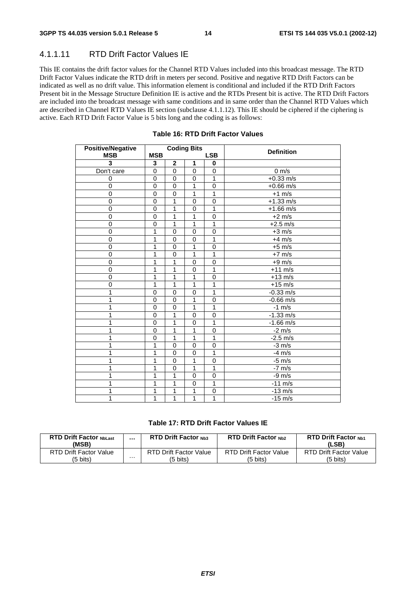# 4.1.1.11 RTD Drift Factor Values IE

This IE contains the drift factor values for the Channel RTD Values included into this broadcast message. The RTD Drift Factor Values indicate the RTD drift in meters per second. Positive and negative RTD Drift Factors can be indicated as well as no drift value. This information element is conditional and included if the RTD Drift Factors Present bit in the Message Structure Definition IE is active and the RTDs Present bit is active. The RTD Drift Factors are included into the broadcast message with same conditions and in same order than the Channel RTD Values which are described in Channel RTD Values IE section (subclause 4.1.1.12). This IE should be ciphered if the ciphering is active. Each RTD Drift Factor Value is 5 bits long and the coding is as follows:

| <b>Positive/Negative</b> |             |                | <b>Coding Bits</b> |                | <b>Definition</b>   |
|--------------------------|-------------|----------------|--------------------|----------------|---------------------|
| <b>MSB</b>               | <b>MSB</b>  |                |                    | <b>LSB</b>     |                     |
| 3                        | 3           | $\mathbf 2$    | 1                  | 0              |                     |
| Don't care               | $\mathbf 0$ | $\mathbf 0$    | $\mathbf 0$        | 0              | $0 \text{ m/s}$     |
| 0                        | $\mathbf 0$ | $\mathbf{0}$   | $\mathbf 0$        | $\mathbf{1}$   | $+0.33$ m/s         |
| $\overline{0}$           | $\pmb{0}$   | $\pmb{0}$      | $\overline{1}$     | $\overline{0}$ | $+0.66$ m/s         |
| $\overline{0}$           | 0           | $\pmb{0}$      | 1                  | $\overline{1}$ | $+1$ m/s            |
| 0                        | $\mathbf 0$ | 1              | 0                  | $\mathbf 0$    | $+1.33$ m/s         |
| 0                        | $\mathbf 0$ | 1              | $\mathbf 0$        | 1              | $+1.66$ m/s         |
| $\overline{0}$           | $\mathbf 0$ | 1              | $\overline{1}$     | $\mathbf 0$    | $+2$ m/s            |
| $\overline{0}$           | $\mathbf 0$ | $\overline{1}$ | 1                  | 1              | $+2.5$ m/s          |
| 0                        | 1           | $\mathbf 0$    | 0                  | 0              | $+3$ m/s            |
| 0                        | 1           | 0              | 0                  | $\mathbf{1}$   | $+4$ m/s            |
| $\overline{0}$           | 1           | $\mathbf 0$    | 1                  | $\mathbf 0$    | $+5$ m/s            |
| 0                        | 1           | $\mathbf 0$    | 1                  | 1              | $+7$ m/s            |
| $\overline{0}$           | 1           | 1              | $\mathbf 0$        | 0              | $+9$ m/s            |
| 0                        | 1           | 1              | $\mathbf 0$        | 1              | $+11$ m/s           |
| $\mathbf 0$              | 1           | 1              | 1                  | 0              | $+13$ m/s           |
| 0                        | 1           | 1              | 1                  | 1              | $+15$ m/s           |
| 1                        | 0           | $\mathbf 0$    | $\mathbf 0$        | 1              | $-0.33$ m/s         |
| 1                        | $\mathbf 0$ | $\mathbf 0$    | 1                  | $\mathbf 0$    | $-0.66$ m/s         |
| 1                        | $\mathbf 0$ | $\mathbf 0$    | 1                  | 1              | $-1$ m/s            |
| 1                        | 0           | 1              | 0                  | 0              | $-1.33$ m/s         |
| 1                        | 0           | 1              | $\mathbf 0$        | 1              | $-1.66 \text{ m/s}$ |
| 1                        | $\mathbf 0$ | 1              | 1                  | $\Omega$       | $-2$ m/s            |
| 1                        | $\mathbf 0$ | $\overline{1}$ | $\overline{1}$     | $\overline{1}$ | $-2.5$ m/s          |
| 1                        | 1           | $\pmb{0}$      | $\mathbf 0$        | $\mathbf 0$    | $-3$ m/s            |
| 1                        | 1           | 0              | 0                  | 1              | $-4$ m/s            |
| 1                        | 1           | $\mathbf 0$    | 1                  | 0              | $-5$ m/s            |
| 1                        | 1           | $\mathbf 0$    | 1                  | 1              | $-7$ m/s            |
| 1                        | 1           | 1              | $\mathbf 0$        | $\mathbf 0$    | $-9$ m/s            |
| 1                        | 1           | 1              | 0                  | 1              | $-11$ m/s           |
| 1                        | 1           | 1              | 1                  | 0              | $-13$ m/s           |
| 1                        | 1           | 1              | $\overline{1}$     | $\overline{1}$ | $-15$ m/s           |

### **Table 16: RTD Drift Factor Values**

### **Table 17: RTD Drift Factor Values IE**

| <b>RTD Drift Factor NbLast</b><br>(MSB) |   | <b>RTD Drift Factor Nh3</b> | <b>RTD Drift Factor Nh2</b> | <b>RTD Drift Factor Nh1</b><br>(LSB) |
|-----------------------------------------|---|-----------------------------|-----------------------------|--------------------------------------|
| RTD Drift Factor Value                  | . | RTD Drift Factor Value      | RTD Drift Factor Value      | RTD Drift Factor Value               |
| (5 bits)                                |   | (5 bits)                    | (5 bits)                    | (5 bits)                             |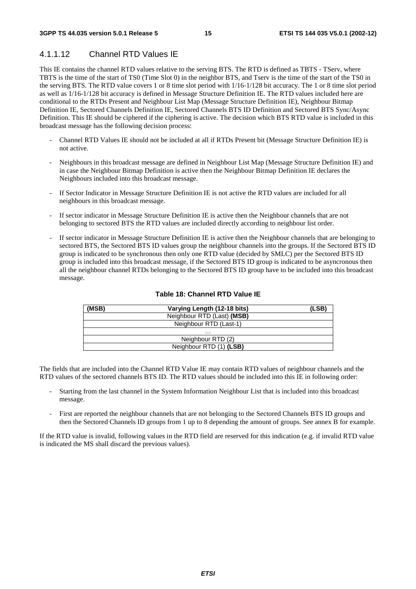# 4.1.1.12 Channel RTD Values IE

This IE contains the channel RTD values relative to the serving BTS. The RTD is defined as TBTS - TServ, where TBTS is the time of the start of TS0 (Time Slot 0) in the neighbor BTS, and Tserv is the time of the start of the TS0 in the serving BTS. The RTD value covers 1 or 8 time slot period with 1/16-1/128 bit accuracy. The 1 or 8 time slot period as well as 1/16-1/128 bit accuracy is defined in Message Structure Definition IE. The RTD values included here are conditional to the RTDs Present and Neighbour List Map (Message Structure Definition IE), Neighbour Bitmap Definition IE, Sectored Channels Definition IE, Sectored Channels BTS ID Definition and Sectored BTS Sync/Async Definition. This IE should be ciphered if the ciphering is active. The decision which BTS RTD value is included in this broadcast message has the following decision process:

- Channel RTD Values IE should not be included at all if RTDs Present bit (Message Structure Definition IE) is not active.
- Neighbours in this broadcast message are defined in Neighbour List Map (Message Structure Definition IE) and in case the Neighbour Bitmap Definition is active then the Neighbour Bitmap Definition IE declares the Neighbours included into this broadcast message.
- If Sector Indicator in Message Structure Definition IE is not active the RTD values are included for all neighbours in this broadcast message.
- If sector indicator in Message Structure Definition IE is active then the Neighbour channels that are not belonging to sectored BTS the RTD values are included directly according to neighbour list order.
- If sector indicator in Message Structure Definition IE is active then the Neighbour channels that are belonging to sectored BTS, the Sectored BTS ID values group the neighbour channels into the groups. If the Sectored BTS ID group is indicated to be synchronous then only one RTD value (decided by SMLC) per the Sectored BTS ID group is included into this broadcast message, if the Sectored BTS ID group is indicated to be asyncronous then all the neighbour channel RTDs belonging to the Sectored BTS ID group have to be included into this broadcast message.

| (MSB) | Varying Length (12-18 bits) | (LSB) |
|-------|-----------------------------|-------|
|       | Neighbour RTD (Last) (MSB)  |       |
|       | Neighbour RTD (Last-1)      |       |
|       | .                           |       |
|       | Neighbour RTD (2)           |       |
|       | Neighbour RTD (1) (LSB)     |       |

### **Table 18: Channel RTD Value IE**

The fields that are included into the Channel RTD Value IE may contain RTD values of neighbour channels and the RTD values of the sectored channels BTS ID. The RTD values should be included into this IE in following order:

- Starting from the last channel in the System Information Neighbour List that is included into this broadcast message.
- First are reported the neighbour channels that are not belonging to the Sectored Channels BTS ID groups and then the Sectored Channels ID groups from 1 up to 8 depending the amount of groups. See annex B for example.

If the RTD value is invalid, following values in the RTD field are reserved for this indication (e.g. if invalid RTD value is indicated the MS shall discard the previous values).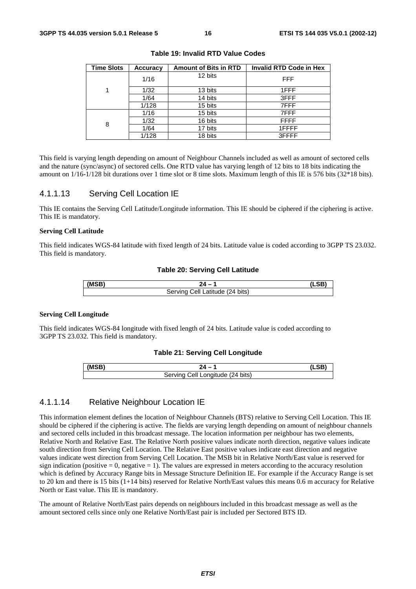| <b>Time Slots</b> | <b>Accuracy</b> | <b>Amount of Bits in RTD</b> | <b>Invalid RTD Code in Hex</b> |
|-------------------|-----------------|------------------------------|--------------------------------|
|                   | 1/16            | 12 bits                      | FFF                            |
|                   | 1/32            | 13 bits                      | 1FFF                           |
|                   | 1/64            | 14 bits                      | 3FFF                           |
|                   | 1/128           | 15 bits                      | 7FFF                           |
|                   | 1/16            | 15 bits                      | 7FFF                           |
| 8                 | 1/32            | 16 bits                      | <b>FFFF</b>                    |
|                   | 1/64            | 17 bits                      | 1FFFF                          |
|                   | 1/128           | 18 bits                      | 3FFFF                          |

**Table 19: Invalid RTD Value Codes** 

This field is varying length depending on amount of Neighbour Channels included as well as amount of sectored cells and the nature (sync/async) of sectored cells. One RTD value has varying length of 12 bits to 18 bits indicating the amount on 1/16-1/128 bit durations over 1 time slot or 8 time slots. Maximum length of this IE is 576 bits (32\*18 bits).

### 4.1.1.13 Serving Cell Location IE

This IE contains the Serving Cell Latitude/Longitude information. This IE should be ciphered if the ciphering is active. This IE is mandatory.

#### **Serving Cell Latitude**

This field indicates WGS-84 latitude with fixed length of 24 bits. Latitude value is coded according to 3GPP TS 23.032. This field is mandatory.

#### **Table 20: Serving Cell Latitude**

| (MCR) |                                                      |  |
|-------|------------------------------------------------------|--|
|       | $(24 \text{ bits})$<br>Servina<br>`atitude .<br>اا∆∶ |  |

#### **Serving Cell Longitude**

This field indicates WGS-84 longitude with fixed length of 24 bits. Latitude value is coded according to 3GPP TS 23.032. This field is mandatory.

#### **Table 21: Serving Cell Longitude**

| (MSB) |                                         |  |
|-------|-----------------------------------------|--|
|       | ell.<br>'Longitude (24 bits)<br>Servina |  |

### 4.1.1.14 Relative Neighbour Location IE

This information element defines the location of Neighbour Channels (BTS) relative to Serving Cell Location. This IE should be ciphered if the ciphering is active. The fields are varying length depending on amount of neighbour channels and sectored cells included in this broadcast message. The location information per neighbour has two elements, Relative North and Relative East. The Relative North positive values indicate north direction, negative values indicate south direction from Serving Cell Location. The Relative East positive values indicate east direction and negative values indicate west direction from Serving Cell Location. The MSB bit in Relative North/East value is reserved for sign indication (positive  $= 0$ , negative  $= 1$ ). The values are expressed in meters according to the accuracy resolution which is defined by Accuracy Range bits in Message Structure Definition IE. For example if the Accuracy Range is set to 20 km and there is 15 bits (1+14 bits) reserved for Relative North/East values this means 0.6 m accuracy for Relative North or East value. This IE is mandatory.

The amount of Relative North/East pairs depends on neighbours included in this broadcast message as well as the amount sectored cells since only one Relative North/East pair is included per Sectored BTS ID.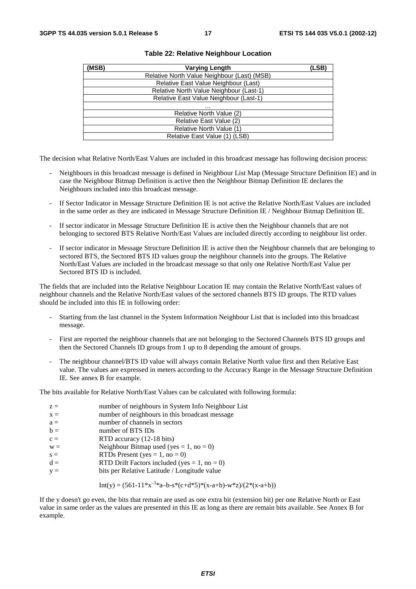| (MSB) | <b>Varying Length</b>                       | (LSB) |
|-------|---------------------------------------------|-------|
|       | Relative North Value Neighbour (Last) (MSB) |       |
|       | Relative East Value Neighbour (Last)        |       |
|       | Relative North Value Neighbour (Last-1)     |       |
|       | Relative East Value Neighbour (Last-1)      |       |
|       | .                                           |       |
|       | Relative North Value (2)                    |       |
|       | Relative East Value (2)                     |       |
|       | Relative North Value (1)                    |       |
|       | Relative East Value (1) (LSB)               |       |

#### **Table 22: Relative Neighbour Location**

The decision what Relative North/East Values are included in this broadcast message has following decision process:

- Neighbours in this broadcast message is defined in Neighbour List Map (Message Structure Definition IE) and in case the Neighbour Bitmap Definition is active then the Neighbour Bitmap Definition IE declares the Neighbours included into this broadcast message.
- If Sector Indicator in Message Structure Definition IE is not active the Relative North/East Values are included in the same order as they are indicated in Message Structure Definition IE / Neighbour Bitmap Definition IE.
- If sector indicator in Message Structure Definition IE is active then the Neighbour channels that are not belonging to sectored BTS Relative North/East Values are included directly according to neighbour list order.
- If sector indicator in Message Structure Definition IE is active then the Neighbour channels that are belonging to sectored BTS, the Sectored BTS ID values group the neighbour channels into the groups. The Relative North/East Values are included in the broadcast message so that only one Relative North/East Value per Sectored BTS ID is included.

The fields that are included into the Relative Neighbour Location IE may contain the Relative North/East values of neighbour channels and the Relative North/East values of the sectored channels BTS ID groups. The RTD values should be included into this IE in following order:

- Starting from the last channel in the System Information Neighbour List that is included into this broadcast message.
- First are reported the neighbour channels that are not belonging to the Sectored Channels BTS ID groups and then the Sectored Channels ID groups from 1 up to 8 depending the amount of groups.
- The neighbour channel/BTS ID value will always contain Relative North value first and then Relative East value. The values are expressed in meters according to the Accuracy Range in the Message Structure Definition IE. See annex B for example.

The bits available for Relative North/East Values can be calculated with following formula:

| $z =$ | number of neighbours in System Info Neighbour List |
|-------|----------------------------------------------------|
| $x =$ | number of neighbours in this broadcast message     |
| $a =$ | number of channels in sectors                      |
| $b =$ | number of BTS IDs                                  |
| $c =$ | RTD accuracy (12-18 bits)                          |
| $W =$ | Neighbour Bitmap used (yes = 1, no = 0)            |
| $s =$ | RTDs Present (yes = $1$ , no = 0)                  |
| $d =$ | RTD Drift Factors included (yes = $1$ , no = 0)    |
| $V =$ | bits per Relative Latitude / Longitude value       |

Int(y) = 
$$
(561-11*x^{-3}*a-b-s*(c+d*5)*(x-a+b)-w*z)/(2*(x-a+b))
$$

If the y doesn't go even, the bits that remain are used as one extra bit (extension bit) per one Relative North or East value in same order as the values are presented in this IE as long as there are remain bits available. See Annex B for example.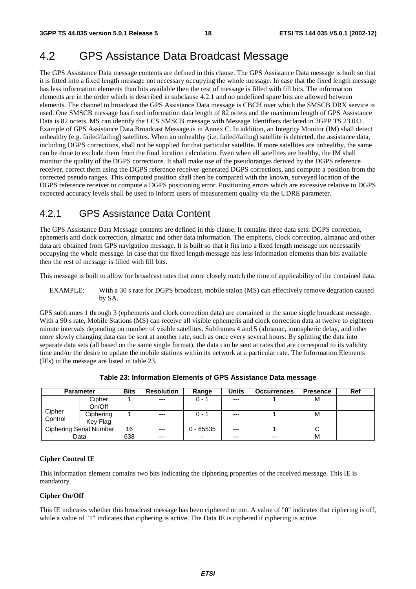# 4.2 GPS Assistance Data Broadcast Message

The GPS Assistance Data message contents are defined in this clause. The GPS Assistance Data message is built so that it is fitted into a fixed length message not necessary occupying the whole message. In case that the fixed length message has less information elements than bits available then the rest of message is filled with fill bits. The information elements are in the order which is described in subclause 4.2.1 and no undefined spare bits are allowed between elements. The channel to broadcast the GPS Assistance Data message is CBCH over which the SMSCB DRX service is used. One SMSCB message has fixed information data length of 82 octets and the maximum length of GPS Assistance Data is 82 octets. MS can identify the LCS SMSCB message with Message Identifiers declared in 3GPP TS 23.041. Example of GPS Assistance Data Broadcast Message is in Annex C. In addition, an Integrity Monitor (IM) shall detect unhealthy (e.g. failed/failing) satellites. When an unhealthy (i.e. failed/failing) satellite is detected, the assistance data, including DGPS corrections, shall not be supplied for that particular satellite. If more satellites are unhealthy, the same can be done to exclude them from the final location calculation. Even when all satellites are healthy, the IM shall monitor the quality of the DGPS corrections. It shall make use of the pseudoranges derived by the DGPS reference receiver, correct them using the DGPS reference receiver-generated DGPS corrections, and compute a position from the corrected pseudo ranges. This computed position shall then be compared with the known, surveyed location of the DGPS reference receiver to compute a DGPS positioning error. Positioning errors which are excessive relative to DGPS expected accuracy levels shall be used to inform users of measurement quality via the UDRE parameter.

# 4.2.1 GPS Assistance Data Content

The GPS Assistance Data Message contents are defined in this clause. It contains three data sets: DGPS correction, ephemeris and clock correction, almanac and other data information. The empheris, clock correction, almanac and other data are obtained from GPS navigation message. It is built so that it fits into a fixed length message not necessarily occupying the whole message. In case that the fixed length message has less information elements than bits available then the rest of message is filled with fill bits.

This message is built to allow for broadcast rates that more closely match the time of applicability of the contained data.

EXAMPLE: With a 30 s rate for DGPS broadcast, mobile staion (MS) can effectively remove degration caused by SA.

GPS subframes 1 through 3 (ephemeris and clock correction data) are contained in the same single broadcast message. With a 90 s rate, Mobile Stations (MS) can receive all visible ephemeris and clock correction data at twelve to eighteen minute intervals depending on number of visible satellites. Subframes 4 and 5 (almanac, ionospheric delay, and other more slowly changing data can be sent at another rate, such as once every several hours. By splitting the data into separate data sets (all based on the same single format), the data can be sent at rates that are correspond to its validity time and/or the desire to update the mobile stations within its network at a particular rate. The Information Elements (IEs) in the message are listed in table 23.

| <b>Parameter</b> |                         | <b>Bits</b> | <b>Resolution</b> | Range       | <b>Units</b> | <b>Occurrences</b> | <b>Presence</b> | Ref |
|------------------|-------------------------|-------------|-------------------|-------------|--------------|--------------------|-----------------|-----|
|                  | Cipher                  |             | $---$             | $0 - 1$     | $---$        |                    | м               |     |
|                  | On/Off                  |             |                   |             |              |                    |                 |     |
| Cipher           | Ciphering               |             | $---$             | $0 - 1$     | $---$        |                    | м               |     |
| Control          | Key Flag                |             |                   |             |              |                    |                 |     |
|                  | Ciphering Serial Number | 16          | $---$             | $0 - 65535$ | $---$        |                    |                 |     |
|                  | Data                    | 638         | $--$              | -           | $---$        | $---$              | M               |     |

**Table 23: Information Elements of GPS Assistance Data message** 

#### **Cipher Control IE**

This information element contains two bits indicating the ciphering properties of the received message. This IE is mandatory.

#### **Cipher On/Off**

This IE indicates whether this broadcast message has been ciphered or not. A value of "0" indicates that ciphering is off, while a value of "1" indicates that ciphering is active. The Data IE is ciphered if ciphering is active.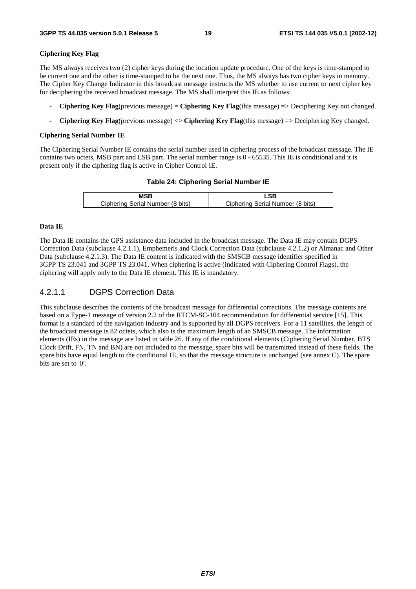#### **Ciphering Key Flag**

The MS always receives two (2) cipher keys during the location update procedure. One of the keys is time-stamped to be current one and the other is time-stamped to be the next one. Thus, the MS always has two cipher keys in memory. The Cipher Key Change Indicator in this broadcast message instructs the MS whether to use current or next cipher key for deciphering the received broadcast message. The MS shall interpret this IE as follows:

- **Ciphering Key Flag**(previous message) = **Ciphering Key Flag**(this message) => Deciphering Key not changed.
- **Ciphering Key Flag**(previous message) <> **Ciphering Key Flag**(this message) => Deciphering Key changed.

#### **Ciphering Serial Number IE**

The Ciphering Serial Number IE contains the serial number used in ciphering process of the broadcast message. The IE contains two octets, MSB part and LSB part. The serial number range is 0 - 65535. This IE is conditional and it is present only if the ciphering flag is active in Cipher Control IE.

#### **Table 24: Ciphering Serial Number IE**

| Ciphering Serial Number (8 bits) | Ciphering Serial Number (8 bits) |
|----------------------------------|----------------------------------|

#### **Data IE**

The Data IE contains the GPS assistance data included in the broadcast message. The Data IE may contain DGPS Correction Data (subclause 4.2.1.1), Emphemeris and Clock Correction Data (subclause 4.2.1.2) or Almanac and Other Data (subclause 4.2.1.3). The Data IE content is indicated with the SMSCB message identifier specified in 3GPP TS 23.041 and 3GPP TS 23.041. When ciphering is active (indicated with Ciphering Control Flags), the ciphering will apply only to the Data IE element. This IE is mandatory.

# 4.2.1.1 DGPS Correction Data

This subclause describes the contents of the broadcast message for differential corrections. The message contents are based on a Type-1 message of version 2.2 of the RTCM-SC-104 recommendation for differential service [15]. This format is a standard of the navigation industry and is supported by all DGPS receivers. For a 11 satellites, the length of the broadcast message is 82 octets, which also is the maximum length of an SMSCB message. The information elements (IEs) in the message are listed in table 26. If any of the conditional elements (Ciphering Serial Number, BTS Clock Drift, FN, TN and BN) are not included to the message, spare bits will be transmitted instead of these fields. The spare bits have equal length to the conditional IE, so that the message structure is unchanged (see annex C). The spare bits are set to '0'.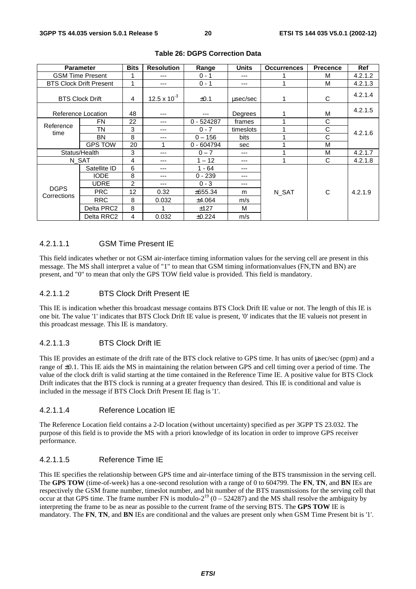| <b>Parameter</b>           |                                | <b>Bits</b>    | <b>Resolution</b> | Range        | <b>Units</b> | <b>Occurrences</b> | <b>Precence</b> | Ref     |
|----------------------------|--------------------------------|----------------|-------------------|--------------|--------------|--------------------|-----------------|---------|
| <b>GSM Time Present</b>    |                                |                | ---               | $0 - 1$      | ---          |                    | M               | 4.2.1.2 |
|                            | <b>BTS Clock Drift Present</b> | 1              | ---               | $0 - 1$      | ---          |                    | M               | 4.2.1.3 |
|                            | <b>BTS Clock Drift</b>         | 4              | 12.5 x $10^{-3}$  | $\pm 0.1$    | usec/sec     |                    | С               | 4.2.1.4 |
| Reference Location         |                                | 48             | ---               | ---          | Degrees      |                    | M               | 4.2.1.5 |
| <b>FN</b>                  |                                | 22             | ---               | $0 - 524287$ | frames       |                    | C               |         |
| Reference<br>time          | TΝ                             | 3              | ---               | $0 - 7$      | timeslots    |                    | C               | 4.2.1.6 |
|                            | <b>BN</b>                      | 8              | ---               | $0 - 156$    | bits         |                    | C               |         |
|                            | <b>GPS TOW</b>                 | 20             | 1                 | $0 - 604794$ | sec          |                    | M               |         |
| Status/Health              |                                | 3              | ---               | $0 - 7$      | ---          |                    | M               | 4.2.1.7 |
|                            | N SAT                          | 4              | ---               | $1 - 12$     | ---          |                    | C               | 4.2.1.8 |
|                            | Satellite ID                   | 6              | ---               | $1 - 64$     | ---          |                    |                 |         |
|                            | <b>IODE</b>                    | 8              | ---               | $0 - 239$    | ---          |                    |                 |         |
| <b>DGPS</b><br>Corrections | <b>UDRE</b>                    | $\overline{c}$ | $---$             | $0 - 3$      | ---          |                    |                 |         |
|                            | <b>PRC</b>                     | 12             | 0.32              | ±655.34      | m            | N SAT              | C               | 4.2.1.9 |
|                            | <b>RRC</b>                     | 8              | 0.032             | ±4.064       | m/s          |                    |                 |         |
|                            | Delta PRC2                     | 8              | 4                 | ±127         | М            |                    |                 |         |
|                            | Delta RRC2                     | 4              | 0.032             | ±0.224       | m/s          |                    |                 |         |

### **Table 26: DGPS Correction Data**

### 4.2.1.1.1 GSM Time Present IE

This field indicates whether or not GSM air-interface timing information values for the serving cell are present in this message. The MS shall interpret a value of "1" to mean that GSM timing informationvalues (FN,TN and BN) are present, and "0" to mean that only the GPS TOW field value is provided. This field is mandatory.

### 4.2.1.1.2 BTS Clock Drift Present IE

This IE is indication whether this broadcast message contains BTS Clock Drift IE value or not. The length of this IE is one bit. The value '1' indicates that BTS Clock Drift IE value is present, '0' indicates that the IE valueis not present in this proadcast message. This IE is mandatory.

### 4.2.1.1.3 BTS Clock Drift IE

This IE provides an estimate of the drift rate of the BTS clock relative to GPS time. It has units of µsec/sec (ppm) and a range of ±0.1. This IE aids the MS in maintaining the relation between GPS and cell timing over a period of time. The value of the clock drift is valid starting at the time contained in the Reference Time IE. A positive value for BTS Clock Drift indicates that the BTS clock is running at a greater frequency than desired. This IE is conditional and value is included in the message if BTS Clock Drift Present IE flag is '1'.

#### 4.2.1.1.4 Reference Location IE

The Reference Location field contains a 2-D location (without uncertainty) specified as per 3GPP TS 23.032. The purpose of this field is to provide the MS with a priori knowledge of its location in order to improve GPS receiver performance.

### 4.2.1.1.5 Reference Time IE

This IE specifies the relationship between GPS time and air-interface timing of the BTS transmission in the serving cell. The **GPS TOW** (time-of-week) has a one-second resolution with a range of 0 to 604799. The **FN**, **TN**, and **BN** IEs are respectively the GSM frame number, timeslot number, and bit number of the BTS transmissions for the serving cell that occur at that GPS time. The frame number FN is modulo- $2^{19}$  (0 – 524287) and the MS shall resolve the ambiguity by interpreting the frame to be as near as possible to the current frame of the serving BTS. The **GPS TOW** IE is mandatory. The **FN**, **TN**, and **BN** IEs are conditional and the values are present only when GSM Time Present bit is '1'.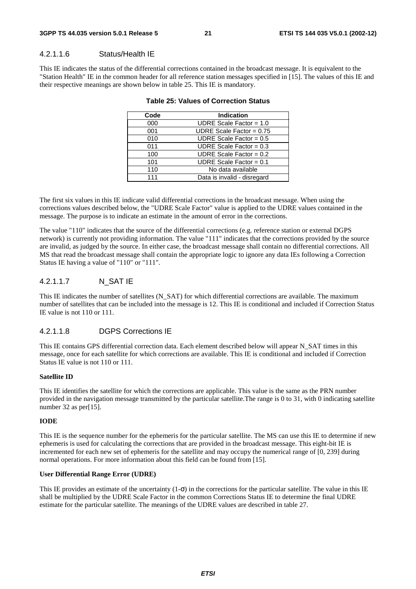### 4.2.1.1.6 Status/Health IE

This IE indicates the status of the differential corrections contained in the broadcast message. It is equivalent to the "Station Health" IE in the common header for all reference station messages specified in [15]. The values of this IE and their respective meanings are shown below in table 25. This IE is mandatory.

#### **Table 25: Values of Correction Status**

The first six values in this IE indicate valid differential corrections in the broadcast message. When using the corrections values described below, the "UDRE Scale Factor" value is applied to the UDRE values contained in the message. The purpose is to indicate an estimate in the amount of error in the corrections.

The value "110" indicates that the source of the differential corrections (e.g. reference station or external DGPS network) is currently not providing information. The value "111" indicates that the corrections provided by the source are invalid, as judged by the source. In either case, the broadcast message shall contain no differential corrections. All MS that read the broadcast message shall contain the appropriate logic to ignore any data IEs following a Correction Status IE having a value of "110" or "111".

### 4.2.1.1.7 N\_SAT IE

This IE indicates the number of satellites (N\_SAT) for which differential corrections are available. The maximum number of satellites that can be included into the message is 12. This IE is conditional and included if Correction Status IE value is not 110 or 111.

#### 4.2.1.1.8 DGPS Corrections IE

This IE contains GPS differential correction data. Each element described below will appear N\_SAT times in this message, once for each satellite for which corrections are available. This IE is conditional and included if Correction Status IE value is not 110 or 111.

#### **Satellite ID**

This IE identifies the satellite for which the corrections are applicable. This value is the same as the PRN number provided in the navigation message transmitted by the particular satellite.The range is 0 to 31, with 0 indicating satellite number 32 as per[15].

#### **IODE**

This IE is the sequence number for the ephemeris for the particular satellite. The MS can use this IE to determine if new ephemeris is used for calculating the corrections that are provided in the broadcast message. This eight-bit IE is incremented for each new set of ephemeris for the satellite and may occupy the numerical range of [0, 239] during normal operations. For more information about this field can be found from [15].

#### **User Differential Range Error (UDRE)**

This IE provides an estimate of the uncertainty  $(1-\sigma)$  in the corrections for the particular satellite. The value in this IE shall be multiplied by the UDRE Scale Factor in the common Corrections Status IE to determine the final UDRE estimate for the particular satellite. The meanings of the UDRE values are described in table 27.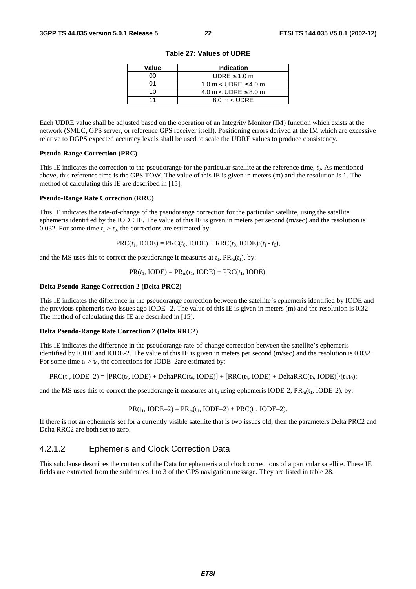| Value | Indication                    |  |  |  |  |
|-------|-------------------------------|--|--|--|--|
| n۵    | UDRE $\leq 1.0$ m             |  |  |  |  |
| ሰ1    | 1.0 m $<$ UDRE $\leq$ 4.0 m   |  |  |  |  |
| 1 በ   | 4.0 m $<$ UDRE $\leq$ 8.0 m   |  |  |  |  |
|       | $8.0 \text{ m} < \text{UDRE}$ |  |  |  |  |

**Table 27: Values of UDRE** 

Each UDRE value shall be adjusted based on the operation of an Integrity Monitor (IM) function which exists at the network (SMLC, GPS server, or reference GPS receiver itself). Positioning errors derived at the IM which are excessive relative to DGPS expected accuracy levels shall be used to scale the UDRE values to produce consistency.

#### **Pseudo-Range Correction (PRC)**

This IE indicates the correction to the pseudorange for the particular satellite at the reference time, *t*0. As mentioned above, this reference time is the GPS TOW. The value of this IE is given in meters (m) and the resolution is 1. The method of calculating this IE are described in [15].

#### **Pseudo-Range Rate Correction (RRC)**

This IE indicates the rate-of-change of the pseudorange correction for the particular satellite, using the satellite ephemeris identified by the IODE IE. The value of this IE is given in meters per second (m/sec) and the resolution is 0.032. For some time  $t_1 > t_0$ , the corrections are estimated by:

 $PRC(t_1, IODE) = PRC(t_0, IODE) + RRC(t_0, IODE) \cdot (t_1 - t_0),$ 

and the MS uses this to correct the pseudorange it measures at  $t_1$ ,  $PR_m(t_1)$ , by:

 $PR(t_1, \text{IODE}) = PR_m(t_1, \text{IODE}) + PRC(t_1, \text{IODE}).$ 

#### **Delta Pseudo-Range Correction 2 (Delta PRC2)**

This IE indicates the difference in the pseudorange correction between the satellite's ephemeris identified by IODE and the previous ephemeris two issues ago IODE –2. The value of this IE is given in meters (m) and the resolution is 0.32. The method of calculating this IE are described in [15].

#### **Delta Pseudo-Range Rate Correction 2 (Delta RRC2)**

This IE indicates the difference in the pseudorange rate-of-change correction between the satellite's ephemeris identified by IODE and IODE-2. The value of this IE is given in meters per second (m/sec) and the resolution is 0.032. For some time  $t_1 > t_0$ , the corrections for IODE–2are estimated by:

$$
PRC(t_1, \text{IODE}-2) = [PRC(t_0, \text{IODE}) + \text{Delta}PRC(t_0, \text{IODE})] + [RRC(t_0, \text{IODE}) + \text{Delta}RRC(t_0, \text{IODE})] \cdot (t_1 \cdot t_0);
$$

and the MS uses this to correct the pseudorange it measures at  $t_1$  using ephemeris IODE-2,  $PR_m(t_1, IODE-2)$ , by:

$$
PR(t_1, IODE-2) = PR_m(t_1, IODE-2) + PRC(t_1, IODE-2).
$$

If there is not an ephemeris set for a currently visible satellite that is two issues old, then the parameters Delta PRC2 and Delta RRC2 are both set to zero.

# 4.2.1.2 Ephemeris and Clock Correction Data

This subclause describes the contents of the Data for ephemeris and clock corrections of a particular satellite. These IE fields are extracted from the subframes 1 to 3 of the GPS navigation message. They are listed in table 28.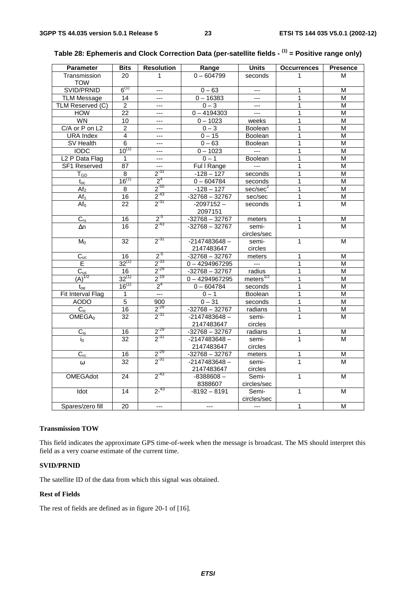| <b>Parameter</b>           | <b>Bits</b>     | <b>Resolution</b>      | Range              | <b>Units</b>             | <b>Occurrences</b> | <b>Presence</b> |
|----------------------------|-----------------|------------------------|--------------------|--------------------------|--------------------|-----------------|
| Transmission               | 20              | 1                      | $0 - 604799$       | seconds                  | 1                  | м               |
| <b>TOW</b>                 |                 |                        |                    |                          |                    |                 |
| SVID/PRNID                 | $6^{(1)}$       | $---$                  | $0 - 63$           | ---                      | 1                  | м               |
| <b>TLM Message</b>         | 14              | ---                    | $0 - 16383$        | $\overline{a}$           | $\mathbf{1}$       | М               |
| TLM Reserved (C)           | $\overline{2}$  | ---                    | $0 - 3$            | ---                      | 1                  | M               |
| <b>HOW</b>                 | $\overline{22}$ | $---$                  | $0 - 4194303$      | $\hspace{0.05cm} \ldots$ | $\overline{1}$     | M               |
| WN                         | 10              | ---                    | $0 - 1023$         | weeks                    | $\mathbf{1}$       | M               |
| C/A or P on L2             | $\overline{c}$  | $---$                  | $0 - 3$<br>Boolean |                          | 1                  | M               |
| <b>URA</b> Index           | 4               | ---                    | $0 - 15$           | Boolean                  | $\mathbf{1}$       | M               |
| SV Health                  | $\overline{6}$  | $---$                  | $0 - 63$           | <b>Boolean</b>           | 1                  | M               |
| <b>IODC</b>                | $10^{(1)}$      | $---$                  | $0 - 1023$         | $\sim$                   | 1                  | М               |
| L <sub>2</sub> P Data Flag | 1               |                        | $0 - 1$            | Boolean                  | 1                  | М               |
| SF1 Reserved               | 87              | ---                    | Ful I Range        | $---$                    | 1                  | M               |
| $T_{GD}$                   | 8               | $2^{31}$               | $-128 - 127$       | seconds                  | $\mathbf{1}$       | M               |
| $t_{oc}$                   | $16^{(1)}$      | 2 <sup>4</sup>         | $0 - 604784$       | seconds                  | 1                  | M               |
| Af <sub>2</sub>            | 8               | $2^{-55}$              | $-128 - 127$       | sec/sec <sup>2</sup>     | 1                  | М               |
| Af <sub>1</sub>            | 16              | $2^{-43}$              | $-32768 - 32767$   | sec/sec                  | $\mathbf{1}$       | M               |
| Af <sub>0</sub>            | $\overline{22}$ | $2^{-31}$              | $-2097152 -$       | seconds                  | $\mathbf{1}$       | M               |
|                            |                 |                        | 2097151            |                          |                    |                 |
| $C_{rs}$                   | 16              |                        | $-32768 - 32767$   | meters                   | 1                  | M               |
| $\Delta n$                 | $\overline{16}$ | $\frac{2^{5}}{2^{43}}$ | $-32768 - 32767$   | semi-                    | $\mathbf{1}$       | M               |
|                            |                 |                        |                    | circles/sec              |                    |                 |
| $M_0$                      | $\overline{32}$ | $2^{31}$               | $-2147483648 -$    | semi-                    | 1                  | M               |
|                            |                 |                        | 2147483647         | circles                  |                    |                 |
| $C_{uc}$                   | 16              | $2^{5}$                | $-32768 - 32767$   | meters                   | 1                  | М               |
| E                          | $32^{(1)}$      | $2^{-33}$              | $0 - 4294967295$   | $\sim$                   | 1                  | M               |
| $C_{us}$                   | 16              | $2^{-29}$              | $-32768 - 32767$   | radius                   | $\overline{1}$     | M               |
| $(A)^{1/2}$                | $32^{(1)}$      | $2^{-19}$              | $0 - 4294967295$   | meters $^{1/2}$          | 1                  | M               |
| $t_{oe}$                   | $16^{(1)}$      | 2 <sup>4</sup>         | $0 - 604784$       | seconds                  | $\mathbf{1}$       | M               |
| Fit Interval Flag          | $\mathbf{1}$    | $\overline{a}$         | $0 - 1$            | Boolean                  | 1                  | M               |
| <b>AODO</b>                | $\overline{5}$  | 900                    | $0 - 31$           | seconds                  | 1                  | M               |
| $C_{ic}$                   | 16              | $2^{-29}$              | $-32768 - 32767$   | radians                  | 1                  | М               |
| OMEGA <sub>0</sub>         | 32              | $2^{-31}$              | $-2147483648 -$    | semi-                    | $\mathbf{1}$       | м               |
|                            |                 |                        | 2147483647         | circles                  |                    |                 |
| $C_{is}$                   | 16              | $2^{-29}$              | $-32768 - 32767$   | radians                  | 1                  | М               |
| $i_0$                      | $\overline{32}$ | $2^{-31}$              | $-2147483648 -$    | semi-                    | $\mathbf{1}$       | M               |
|                            |                 |                        | 2147483647         | circles                  |                    |                 |
| $C_{rc}$                   | 16              | $2^{-29}$              | $-32768 - 32767$   | meters                   | 1                  | M               |
| $\omega$                   | 32              | $2^{31}$               | $-2147483648 -$    | semi-                    | $\mathbf{1}$       | M               |
|                            |                 |                        | 2147483647         | circles                  |                    |                 |
| <b>OMEGAdot</b>            | 24              | $2^{-43}$              | $-8388608-$        | Semi-                    | $\mathbf{1}$       | M               |
|                            |                 |                        | 8388607            | circles/sec              |                    |                 |
| Idot                       | 14              | $2^{-43}$              | $-8192 - 8191$     | Semi-                    | 1                  | М               |
|                            |                 |                        |                    | circles/sec              |                    |                 |
| Spares/zero fill           | 20              | $---$                  | $---$              | $\overline{a}$           | $\mathbf{1}$       | M               |
|                            |                 |                        |                    |                          |                    |                 |

# **Table 28: Ephemeris and Clock Correction Data (per-satellite fields - (1) = Positive range only)**

### **Transmission TOW**

This field indicates the approximate GPS time-of-week when the message is broadcast. The MS should interpret this field as a very coarse estimate of the current time.

#### **SVID/PRNID**

The satellite ID of the data from which this signal was obtained.

### **Rest of Fields**

The rest of fields are defined as in figure 20-1 of [16].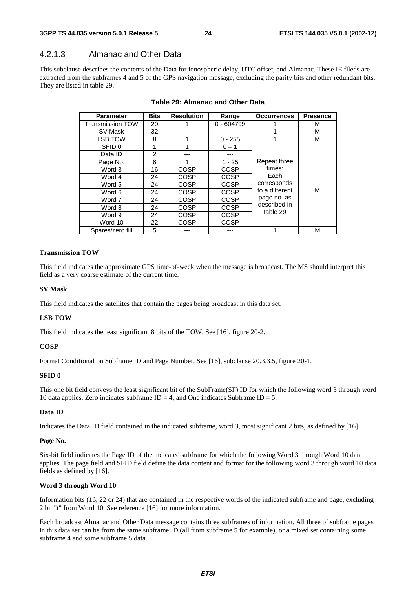### 4.2.1.3 Almanac and Other Data

This subclause describes the contents of the Data for ionospheric delay, UTC offset, and Almanac. These IE fileds are extracted from the subframes 4 and 5 of the GPS navigation message, excluding the parity bits and other redundant bits. They are listed in table 29.

| <b>Parameter</b>        | <b>Bits</b><br><b>Resolution</b> |             | Range        | <b>Occurrences</b> | <b>Presence</b> |
|-------------------------|----------------------------------|-------------|--------------|--------------------|-----------------|
| <b>Transmission TOW</b> | 20                               |             | $0 - 604799$ |                    | м               |
| SV Mask                 | 32                               |             |              |                    | м               |
| LSB TOW                 | 8                                |             | $0 - 255$    |                    | м               |
| SFID 0                  | 1                                |             | $0 - 1$      |                    |                 |
| Data ID                 | $\overline{2}$                   |             | ---          |                    |                 |
| Page No.                | 6                                |             | $1 - 25$     | Repeat three       |                 |
| Word 3                  | 16                               | <b>COSP</b> | COSP         | times:             | м               |
| Word 4                  | 24                               | <b>COSP</b> | <b>COSP</b>  | Each               |                 |
| Word 5                  | 24                               | COSP        | <b>COSP</b>  | corresponds        |                 |
| Word 6                  | 24                               | <b>COSP</b> | COSP         | to a different     |                 |
| Word 7                  | 24                               | <b>COSP</b> | <b>COSP</b>  | page no. as        |                 |
| Word 8                  | 24                               | COSP        | COSP         | described in       |                 |
| Word 9                  | 24                               | <b>COSP</b> | COSP         | table 29           |                 |
| Word 10                 | 22                               | <b>COSP</b> | COSP         |                    |                 |
| Spares/zero fill        | 5                                |             |              |                    | М               |

#### **Table 29: Almanac and Other Data**

#### **Transmission TOW**

This field indicates the approximate GPS time-of-week when the message is broadcast. The MS should interpret this field as a very coarse estimate of the current time.

#### **SV Mask**

This field indicates the satellites that contain the pages being broadcast in this data set.

#### **LSB TOW**

This field indicates the least significant 8 bits of the TOW. See [16], figure 20-2.

#### **COSP**

Format Conditional on Subframe ID and Page Number. See [16], subclause 20.3.3.5, figure 20-1.

#### **SFID 0**

This one bit field conveys the least significant bit of the SubFrame(SF) ID for which the following word 3 through word 10 data applies. Zero indicates subframe  $ID = 4$ , and One indicates Subframe  $ID = 5$ .

#### **Data ID**

Indicates the Data ID field contained in the indicated subframe, word 3, most significant 2 bits, as defined by [16].

#### **Page No.**

Six-bit field indicates the Page ID of the indicated subframe for which the following Word 3 through Word 10 data applies. The page field and SFID field define the data content and format for the following word 3 through word 10 data fields as defined by [16].

#### **Word 3 through Word 10**

Information bits (16, 22 or 24) that are contained in the respective words of the indicated subframe and page, excluding 2 bit "t" from Word 10. See reference [16] for more information.

Each broadcast Almanac and Other Data message contains three subframes of information. All three of subframe pages in this data set can be from the same subframe ID (all from subframe 5 for example), or a mixed set containing some subframe 4 and some subframe 5 data.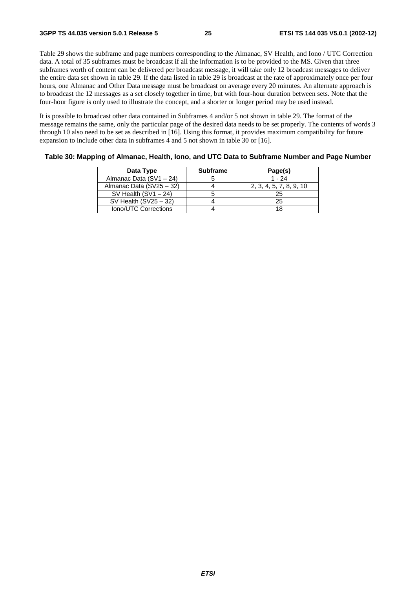Table 29 shows the subframe and page numbers corresponding to the Almanac, SV Health, and Iono / UTC Correction data. A total of 35 subframes must be broadcast if all the information is to be provided to the MS. Given that three subframes worth of content can be delivered per broadcast message, it will take only 12 broadcast messages to deliver the entire data set shown in table 29. If the data listed in table 29 is broadcast at the rate of approximately once per four hours, one Almanac and Other Data message must be broadcast on average every 20 minutes. An alternate approach is to broadcast the 12 messages as a set closely together in time, but with four-hour duration between sets. Note that the four-hour figure is only used to illustrate the concept, and a shorter or longer period may be used instead.

It is possible to broadcast other data contained in Subframes 4 and/or 5 not shown in table 29. The format of the message remains the same, only the particular page of the desired data needs to be set properly. The contents of words 3 through 10 also need to be set as described in [16]. Using this format, it provides maximum compatibility for future expansion to include other data in subframes 4 and 5 not shown in table 30 or [16].

|  | Table 30: Mapping of Almanac, Health, Iono, and UTC Data to Subframe Number and Page Number |
|--|---------------------------------------------------------------------------------------------|
|  |                                                                                             |

| Data Type                | <b>Subframe</b> | Page(s)                 |
|--------------------------|-----------------|-------------------------|
| Almanac Data (SV1 - 24)  |                 | $1 - 24$                |
| Almanac Data (SV25 - 32) |                 | 2, 3, 4, 5, 7, 8, 9, 10 |
| SV Health $(SVI - 24)$   |                 | 25                      |
| SV Health $(SV25 - 32)$  |                 | 25                      |
| Iono/UTC Corrections     |                 |                         |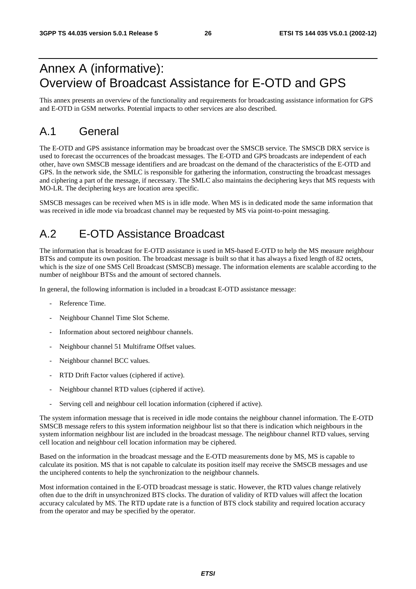# Annex A (informative): Overview of Broadcast Assistance for E-OTD and GPS

This annex presents an overview of the functionality and requirements for broadcasting assistance information for GPS and E-OTD in GSM networks. Potential impacts to other services are also described.

# A.1 General

The E-OTD and GPS assistance information may be broadcast over the SMSCB service. The SMSCB DRX service is used to forecast the occurrences of the broadcast messages. The E-OTD and GPS broadcasts are independent of each other, have own SMSCB message identifiers and are broadcast on the demand of the characteristics of the E-OTD and GPS. In the network side, the SMLC is responsible for gathering the information, constructing the broadcast messages and ciphering a part of the message, if necessary. The SMLC also maintains the deciphering keys that MS requests with MO-LR. The deciphering keys are location area specific.

SMSCB messages can be received when MS is in idle mode. When MS is in dedicated mode the same information that was received in idle mode via broadcast channel may be requested by MS via point-to-point messaging.

# A.2 E-OTD Assistance Broadcast

The information that is broadcast for E-OTD assistance is used in MS-based E-OTD to help the MS measure neighbour BTSs and compute its own position. The broadcast message is built so that it has always a fixed length of 82 octets, which is the size of one SMS Cell Broadcast (SMSCB) message. The information elements are scalable according to the number of neighbour BTSs and the amount of sectored channels.

In general, the following information is included in a broadcast E-OTD assistance message:

- Reference Time.
- Neighbour Channel Time Slot Scheme.
- Information about sectored neighbour channels.
- Neighbour channel 51 Multiframe Offset values.
- Neighbour channel BCC values.
- RTD Drift Factor values (ciphered if active).
- Neighbour channel RTD values (ciphered if active).
- Serving cell and neighbour cell location information (ciphered if active).

The system information message that is received in idle mode contains the neighbour channel information. The E-OTD SMSCB message refers to this system information neighbour list so that there is indication which neighbours in the system information neighbour list are included in the broadcast message. The neighbour channel RTD values, serving cell location and neighbour cell location information may be ciphered.

Based on the information in the broadcast message and the E-OTD measurements done by MS, MS is capable to calculate its position. MS that is not capable to calculate its position itself may receive the SMSCB messages and use the unciphered contents to help the synchronization to the neighbour channels.

Most information contained in the E-OTD broadcast message is static. However, the RTD values change relatively often due to the drift in unsynchronized BTS clocks. The duration of validity of RTD values will affect the location accuracy calculated by MS. The RTD update rate is a function of BTS clock stability and required location accuracy from the operator and may be specified by the operator.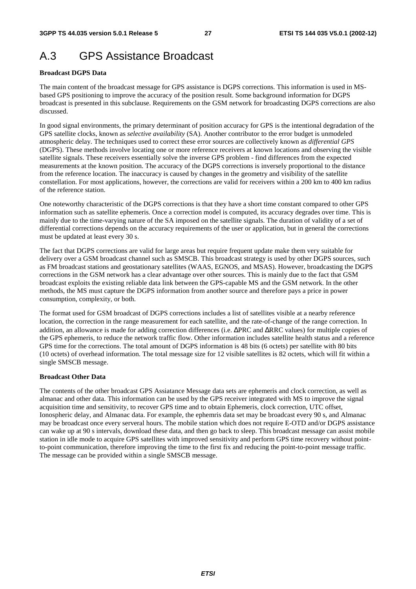# A.3 GPS Assistance Broadcast

### **Broadcast DGPS Data**

The main content of the broadcast message for GPS assistance is DGPS corrections. This information is used in MSbased GPS positioning to improve the accuracy of the position result. Some background information for DGPS broadcast is presented in this subclause. Requirements on the GSM network for broadcasting DGPS corrections are also discussed.

In good signal environments, the primary determinant of position accuracy for GPS is the intentional degradation of the GPS satellite clocks, known as *selective availability* (SA). Another contributor to the error budget is unmodeled atmospheric delay. The techniques used to correct these error sources are collectively known as *differential GPS* (DGPS). These methods involve locating one or more reference receivers at known locations and observing the visible satellite signals. These receivers essentially solve the inverse GPS problem - find differences from the expected measurements at the known position. The accuracy of the DGPS corrections is inversely proportional to the distance from the reference location. The inaccuracy is caused by changes in the geometry and visibility of the satellite constellation. For most applications, however, the corrections are valid for receivers within a 200 km to 400 km radius of the reference station.

One noteworthy characteristic of the DGPS corrections is that they have a short time constant compared to other GPS information such as satellite ephemeris. Once a correction model is computed, its accuracy degrades over time. This is mainly due to the time-varying nature of the SA imposed on the satellite signals. The duration of validity of a set of differential corrections depends on the accuracy requirements of the user or application, but in general the corrections must be updated at least every 30 s.

The fact that DGPS corrections are valid for large areas but require frequent update make them very suitable for delivery over a GSM broadcast channel such as SMSCB. This broadcast strategy is used by other DGPS sources, such as FM broadcast stations and geostationary satellites (WAAS, EGNOS, and MSAS). However, broadcasting the DGPS corrections in the GSM network has a clear advantage over other sources. This is mainly due to the fact that GSM broadcast exploits the existing reliable data link between the GPS-capable MS and the GSM network. In the other methods, the MS must capture the DGPS information from another source and therefore pays a price in power consumption, complexity, or both.

The format used for GSM broadcast of DGPS corrections includes a list of satellites visible at a nearby reference location, the correction in the range measurement for each satellite, and the rate-of-change of the range correction. In addition, an allowance is made for adding correction differences (i.e. ∆PRC and ∆RRC values) for multiple copies of the GPS ephemeris, to reduce the network traffic flow. Other information includes satellite health status and a reference GPS time for the corrections. The total amount of DGPS information is 48 bits (6 octets) per satellite with 80 bits (10 octets) of overhead information. The total message size for 12 visible satellites is 82 octets, which will fit within a single SMSCB message.

#### **Broadcast Other Data**

The contents of the other broadcast GPS Assiatance Message data sets are ephemeris and clock correction, as well as almanac and other data. This information can be used by the GPS receiver integrated with MS to improve the signal acquisition time and sensitivity, to recover GPS time and to obtain Ephemeris, clock correction, UTC offset, Ionospheric delay, and Almanac data. For example, the ephemris data set may be broadcast every 90 s, and Almanac may be broadcast once every serveral hours. The mobile station which does not require E-OTD and/or DGPS assistance can wake up at 90 s intervals, download these data, and then go back to sleep. This broadcast message can assist mobile station in idle mode to acquire GPS satellites with improved sensitivity and perform GPS time recovery without pointto-point communication, therefore improving the time to the first fix and reducing the point-to-point message traffic. The message can be provided within a single SMSCB message.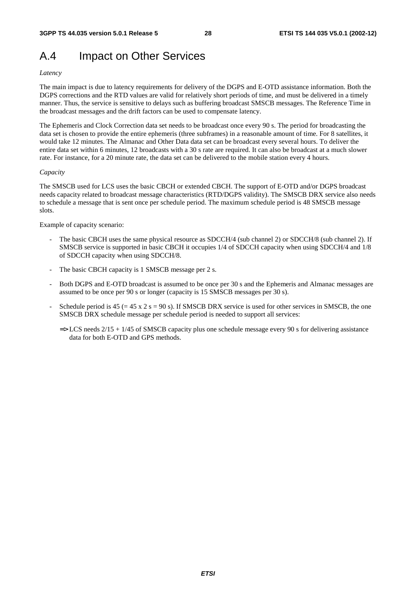# A.4 Impact on Other Services

### *Latency*

The main impact is due to latency requirements for delivery of the DGPS and E-OTD assistance information. Both the DGPS corrections and the RTD values are valid for relatively short periods of time, and must be delivered in a timely manner. Thus, the service is sensitive to delays such as buffering broadcast SMSCB messages. The Reference Time in the broadcast messages and the drift factors can be used to compensate latency.

The Ephemeris and Clock Correction data set needs to be broadcast once every 90 s. The period for broadcasting the data set is chosen to provide the entire ephemeris (three subframes) in a reasonable amount of time. For 8 satellites, it would take 12 minutes. The Almanac and Other Data data set can be broadcast every several hours. To deliver the entire data set within 6 minutes, 12 broadcasts with a 30 s rate are required. It can also be broadcast at a much slower rate. For instance, for a 20 minute rate, the data set can be delivered to the mobile station every 4 hours.

#### *Capacity*

The SMSCB used for LCS uses the basic CBCH or extended CBCH. The support of E-OTD and/or DGPS broadcast needs capacity related to broadcast message characteristics (RTD/DGPS validity). The SMSCB DRX service also needs to schedule a message that is sent once per schedule period. The maximum schedule period is 48 SMSCB message slots.

Example of capacity scenario:

- The basic CBCH uses the same physical resource as SDCCH/4 (sub channel 2) or SDCCH/8 (sub channel 2). If SMSCB service is supported in basic CBCH it occupies 1/4 of SDCCH capacity when using SDCCH/4 and 1/8 of SDCCH capacity when using SDCCH/8.
- The basic CBCH capacity is 1 SMSCB message per 2 s.
- Both DGPS and E-OTD broadcast is assumed to be once per 30 s and the Ephemeris and Almanac messages are assumed to be once per 90 s or longer (capacity is 15 SMSCB messages per 30 s).
- Schedule period is  $45 (= 45 \times 2 \text{ s} = 90 \text{ s})$ . If SMSCB DRX service is used for other services in SMSCB, the one SMSCB DRX schedule message per schedule period is needed to support all services:
	- $\Rightarrow$  LCS needs 2/15 + 1/45 of SMSCB capacity plus one schedule message every 90 s for delivering assistance data for both E-OTD and GPS methods.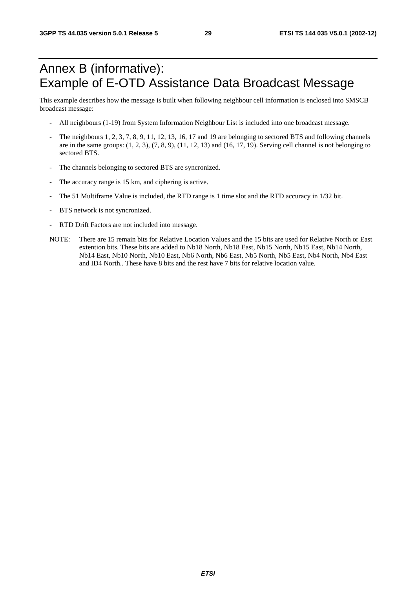# Annex B (informative): Example of E-OTD Assistance Data Broadcast Message

This example describes how the message is built when following neighbour cell information is enclosed into SMSCB broadcast message:

- All neighbours (1-19) from System Information Neighbour List is included into one broadcast message.
- The neighbours 1, 2, 3, 7, 8, 9, 11, 12, 13, 16, 17 and 19 are belonging to sectored BTS and following channels are in the same groups:  $(1, 2, 3)$ ,  $(7, 8, 9)$ ,  $(11, 12, 13)$  and  $(16, 17, 19)$ . Serving cell channel is not belonging to sectored BTS.
- The channels belonging to sectored BTS are syncronized.
- The accuracy range is 15 km, and ciphering is active.
- The 51 Multiframe Value is included, the RTD range is 1 time slot and the RTD accuracy in 1/32 bit.
- BTS network is not syncronized.
- RTD Drift Factors are not included into message.
- NOTE: There are 15 remain bits for Relative Location Values and the 15 bits are used for Relative North or East extention bits. These bits are added to Nb18 North, Nb18 East, Nb15 North, Nb15 East, Nb14 North, Nb14 East, Nb10 North, Nb10 East, Nb6 North, Nb6 East, Nb5 North, Nb5 East, Nb4 North, Nb4 East and ID4 North.. These have 8 bits and the rest have 7 bits for relative location value.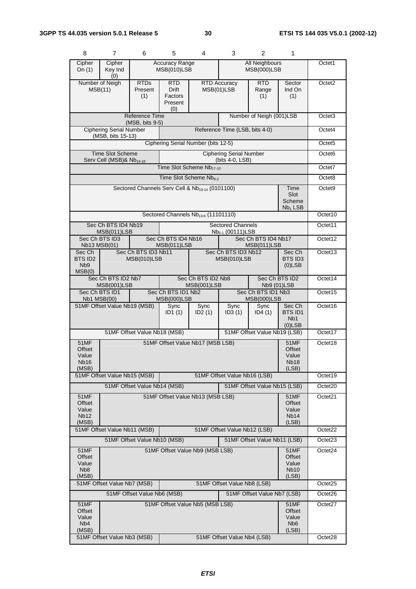| 8                                                                                                       | $\overline{7}$                                                                                                               | 6                                 | 5                                                       | 4                                                           | 3                                                 | 2                                  | 1                                                         |                                |
|---------------------------------------------------------------------------------------------------------|------------------------------------------------------------------------------------------------------------------------------|-----------------------------------|---------------------------------------------------------|-------------------------------------------------------------|---------------------------------------------------|------------------------------------|-----------------------------------------------------------|--------------------------------|
| Cipher<br>On $(1)$                                                                                      | <b>All Neighbours</b><br>Cipher<br><b>Accuracy Range</b><br>MSB(010)LSB<br>MSB(000)LSB<br>Key Ind<br>(0)                     |                                   |                                                         |                                                             |                                                   |                                    |                                                           | Octet1                         |
|                                                                                                         | Number of Neigh<br>MSB(11)                                                                                                   | <b>RTDs</b><br>Present<br>(1)     | <b>RTD</b><br><b>Drift</b><br>Factors<br>Present<br>(0) |                                                             | <b>RTD Accuracy</b><br>MSB(01)LSB                 | <b>RTD</b><br>Range<br>(1)         | Sector<br>Ind On<br>(1)                                   | Octet <sub>2</sub>             |
|                                                                                                         |                                                                                                                              | Reference Time<br>(MSB, bits 9-5) |                                                         |                                                             |                                                   | Number of Neigh (001)LSB           |                                                           | Octet <sub>3</sub>             |
|                                                                                                         | <b>Ciphering Serial Number</b><br>(MSB, bits 15-13)                                                                          |                                   |                                                         |                                                             | Reference Time (LSB, bits 4-0)                    |                                    |                                                           | Octet4                         |
|                                                                                                         |                                                                                                                              |                                   |                                                         | Ciphering Serial Number (bits 12-5)                         |                                                   |                                    |                                                           | Octet <sub>5</sub>             |
|                                                                                                         | <b>Time Slot Scheme</b><br>Serv Cell (MSB)& Nb <sub>19-18</sub>                                                              |                                   |                                                         |                                                             | <b>Ciphering Serial Number</b><br>(bits 4-0, LSB) |                                    |                                                           | Octet <sub>6</sub>             |
|                                                                                                         |                                                                                                                              |                                   |                                                         | Time Slot Scheme Nb <sub>17-10</sub>                        |                                                   |                                    |                                                           | Octet7                         |
|                                                                                                         |                                                                                                                              |                                   |                                                         | Time Slot Scheme Nb <sub>9-2</sub>                          |                                                   |                                    |                                                           | Octet8                         |
|                                                                                                         |                                                                                                                              |                                   |                                                         | Sectored Channels Serv Cell & Nb <sub>19-14</sub> (0101100) |                                                   |                                    | Time<br>Slot<br>Scheme<br>$Nb1$ LSB                       | Octet <sub>9</sub>             |
|                                                                                                         |                                                                                                                              |                                   |                                                         | Sectored Channels Nb <sub>13-6</sub> (11101110)             |                                                   |                                    |                                                           | Octet10                        |
|                                                                                                         | Sec Ch BTS ID4 Nb19<br>MSB(011)LSB                                                                                           |                                   |                                                         |                                                             | <b>Sectored Channels</b><br>$Nb5-1$ (00111) LSB   |                                    |                                                           | Octet11                        |
|                                                                                                         | Sec Ch BTS ID3<br>Nb13 MSB(01)                                                                                               |                                   | Sec Ch BTS ID4 Nb16<br>MSB(011)LSB                      |                                                             |                                                   | Sec Ch BTS ID4 Nb17<br>MSB(011)LSB |                                                           | Octet12                        |
| Sec Ch<br>BTS ID2<br>N <sub>b</sub> 9<br>MSB(0)                                                         | Sec Ch BTS ID3 Nb11<br>MSB(010)LSB                                                                                           |                                   |                                                         | Sec Ch BTS ID3 Nb12<br>MSB(010)LSB                          |                                                   |                                    | Sec Ch<br>BTS ID3<br>$(0)$ LSB                            | Octet13                        |
| Sec Ch BTS ID2 Nb7<br>Sec Ch BTS ID2<br>Sec Ch BTS ID2 Nb8<br>MSB(001)LSB<br>Nb9 (01)LSB<br>MSB(001)LSB |                                                                                                                              |                                   |                                                         |                                                             |                                                   | Octet14                            |                                                           |                                |
|                                                                                                         | Sec Ch BTS ID1 Nb2<br>Sec Ch BTS ID1 Nb3<br>Sec Ch BTS ID1<br><b>Nb1 MSB(00)</b><br><b>MSB(000)LSB</b><br><b>MSB(000)LSB</b> |                                   |                                                         |                                                             |                                                   | Octet15                            |                                                           |                                |
| 51MF Offset Value Nb19 (MSB)                                                                            |                                                                                                                              |                                   | Sync<br>ID <sub>1</sub> $(1)$                           | Sync<br>ID2(1)                                              | Sync<br>ID3(1)                                    | Sync<br>ID4(1)                     | Sec Ch<br><b>BTS ID1</b><br>N <sub>b</sub> 1<br>$(0)$ LSB | Octet16                        |
|                                                                                                         |                                                                                                                              | 51MF Offset Value Nb18 (MSB)      |                                                         |                                                             |                                                   | 51MF Offset Value Nb19 (LSB)       |                                                           | Octet17                        |
| 51MF<br>Offset<br>Value<br>Nb16<br>(MSB)                                                                |                                                                                                                              |                                   |                                                         | 51MF Offset Value Nb17 (MSB LSB)                            |                                                   |                                    | <b>51MF</b><br>Offset<br>Value<br><b>Nb18</b><br>(LSB)    | Octet18                        |
|                                                                                                         | 51MF Offset Value Nb15 (MSB)                                                                                                 |                                   |                                                         |                                                             | 51MF Offset Value Nb16 (LSB)                      |                                    |                                                           | Octet19                        |
|                                                                                                         |                                                                                                                              | 51MF Offset Value Nb14 (MSB)      |                                                         |                                                             |                                                   | 51MF Offset Value Nb15 (LSB)       | 51MF                                                      | Octet20<br>Octet21             |
| <b>Offset</b><br>Value<br>Nb <sub>12</sub><br>(MSB)                                                     | 51MF<br>51MF Offset Value Nb13 (MSB LSB)<br><b>Offset</b><br>Value<br>Nb <sub>14</sub><br>(LSB)                              |                                   |                                                         |                                                             |                                                   |                                    |                                                           |                                |
|                                                                                                         | 51MF Offset Value Nb11 (MSB)                                                                                                 |                                   |                                                         |                                                             | 51MF Offset Value Nb12 (LSB)                      |                                    |                                                           | Octet22                        |
| 51MF                                                                                                    |                                                                                                                              | 51MF Offset Value Nb10 (MSB)      |                                                         |                                                             |                                                   | 51MF Offset Value Nb11 (LSB)       |                                                           | Octet <sub>23</sub><br>Octet24 |
| Offset<br>Value<br>N <sub>b</sub> 8<br>(MSB)                                                            | 51MF Offset Value Nb9 (MSB LSB)<br><b>51MF</b><br>Offset<br>Value<br><b>Nb10</b><br>(LSB)                                    |                                   |                                                         |                                                             |                                                   |                                    |                                                           |                                |
|                                                                                                         | 51MF Offset Value Nb7 (MSB)                                                                                                  |                                   |                                                         |                                                             | 51MF Offset Value Nb8 (LSB)                       |                                    |                                                           | Octet <sub>25</sub>            |
|                                                                                                         |                                                                                                                              | 51MF Offset Value Nb6 (MSB)       |                                                         |                                                             |                                                   | 51MF Offset Value Nb7 (LSB)        |                                                           | Octet26                        |
| 51MF<br>Offset<br>Value<br>N <sub>b</sub> 4<br>(MSB)                                                    |                                                                                                                              |                                   |                                                         | 51MF Offset Value Nb5 (MSB LSB)                             |                                                   |                                    | 51MF<br>Offset<br>Value<br>N <sub>b</sub> 6<br>(LSB)      | Octet <sub>27</sub>            |
|                                                                                                         | 51MF Offset Value Nb3 (MSB)<br>51MF Offset Value Nb4 (LSB)                                                                   |                                   |                                                         |                                                             |                                                   |                                    | Octet28                                                   |                                |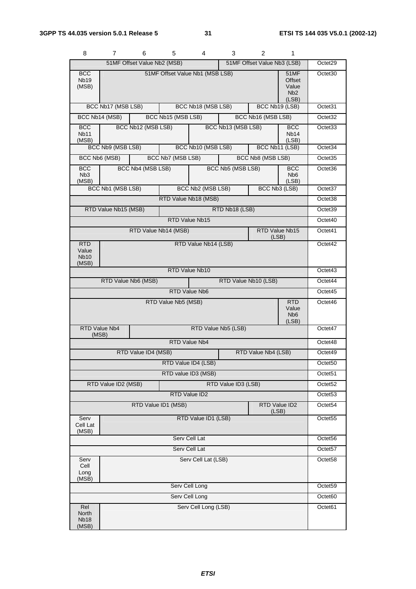| 8                                           | 7                                                          | 6                    | 5                   | 4                               | 3                   | 2                       | 1                                                           |                     |
|---------------------------------------------|------------------------------------------------------------|----------------------|---------------------|---------------------------------|---------------------|-------------------------|-------------------------------------------------------------|---------------------|
|                                             | 51MF Offset Value Nb2 (MSB)<br>51MF Offset Value Nb3 (LSB) |                      |                     |                                 |                     |                         |                                                             | Octet29             |
| <b>BCC</b><br>Nb <sub>19</sub><br>(MSB)     |                                                            |                      |                     | 51MF Offset Value Nb1 (MSB LSB) |                     |                         | 51MF<br><b>Offset</b><br>Value<br>N <sub>b</sub> 2<br>(LSB) | Octet <sub>30</sub> |
|                                             | BCC Nb17 (MSB LSB)                                         |                      |                     | BCC Nb18 (MSB LSB)              |                     | BCC Nb19 (LSB)          |                                                             | Octet31             |
|                                             | BCC Nb14 (MSB)                                             |                      | BCC Nb15 (MSB LSB)  |                                 |                     | BCC Nb16 (MSB LSB)      |                                                             | Octet <sub>32</sub> |
| <b>BCC</b><br><b>Nb11</b><br>(MSB)          |                                                            | BCC Nb12 (MSB LSB)   |                     |                                 | BCC Nb13 (MSB LSB)  |                         | <b>BCC</b><br>Nb <sub>14</sub><br>(LSB)                     | Octet <sub>33</sub> |
|                                             | BCC Nb9 (MSB LSB)                                          |                      |                     | BCC Nb10 (MSB LSB)              |                     | BCC Nb11 (LSB)          |                                                             | Octet <sub>34</sub> |
|                                             | BCC Nb6 (MSB)                                              |                      | BCC Nb7 (MSB LSB)   |                                 |                     | BCC Nb8 (MSB LSB)       |                                                             | Octet35             |
| <b>BCC</b><br>N <sub>b</sub> 3<br>(MSB)     |                                                            | BCC Nb4 (MSB LSB)    |                     |                                 | BCC Nb5 (MSB LSB)   |                         | <b>BCC</b><br>N <sub>b</sub> <sub>6</sub><br>(LSB)          | Octet <sub>36</sub> |
|                                             | BCC Nb1 (MSB LSB)                                          |                      |                     | BCC Nb2 (MSB LSB)               |                     |                         | BCC Nb3 (LSB)                                               | Octet <sub>37</sub> |
|                                             |                                                            |                      |                     | RTD Value Nb18 (MSB)            |                     |                         |                                                             | Octet38             |
|                                             | RTD Value Nb15 (MSB)                                       |                      |                     |                                 | RTD Nb18 (LSB)      |                         |                                                             | Octet39             |
|                                             |                                                            |                      |                     | RTD Value Nb15                  |                     |                         |                                                             | Octet40             |
|                                             |                                                            | RTD Value Nb14 (MSB) |                     |                                 |                     | RTD Value Nb15<br>(LSB) |                                                             | Octet41             |
| <b>RTD</b><br>Value<br><b>Nb10</b><br>(MSB) | RTD Value Nb14 (LSB)                                       |                      |                     |                                 |                     |                         |                                                             | Octet42             |
|                                             |                                                            |                      |                     | RTD Value Nb10                  |                     |                         |                                                             | Octet43             |
|                                             |                                                            | RTD Value Nb6 (MSB)  |                     |                                 |                     | RTD Value Nb10 (LSB)    |                                                             | Octet44             |
|                                             |                                                            |                      |                     | RTD Value Nb6                   |                     |                         |                                                             | Octet45             |
|                                             |                                                            |                      | RTD Value Nb5 (MSB) |                                 |                     |                         | <b>RTD</b><br>Value<br>N <sub>b</sub> 6<br>(LSB)            | Octet46             |
| (MSB)                                       | RTD Value Nb4                                              |                      |                     |                                 | RTD Value Nb5 (LSB) |                         |                                                             | Octet47             |
|                                             |                                                            |                      |                     | <b>RTD Value Nb4</b>            |                     |                         |                                                             | Octet48             |
|                                             | RTD Value ID4 (MSB)<br>RTD Value Nb4 (LSB)                 |                      |                     |                                 |                     |                         |                                                             | Octet49             |
|                                             |                                                            |                      |                     | RTD Value ID4 (LSB)             |                     |                         |                                                             | Octet50             |
|                                             | RTD value ID3 (MSB)                                        |                      |                     |                                 |                     |                         |                                                             | Octet <sub>51</sub> |
| RTD Value ID2 (MSB)                         |                                                            |                      | RTD Value ID3 (LSB) |                                 |                     |                         |                                                             | Octet52             |
|                                             |                                                            |                      | RTD Value ID2       |                                 |                     |                         |                                                             | Octet53             |
|                                             | RTD Value ID1 (MSB)                                        |                      |                     |                                 |                     | (LSB)                   | RTD Value ID2                                               | Octet54             |
| Serv<br>Cell Lat<br>(MSB)                   |                                                            |                      |                     | RTD Value ID1 (LSB)             |                     |                         |                                                             | Octet55             |
| Serv Cell Lat                               |                                                            |                      |                     |                                 |                     |                         |                                                             | Octet56             |
| Serv Cell Lat                               |                                                            |                      |                     |                                 |                     |                         | Octet57                                                     |                     |
| Serv<br>Cell<br>Long<br>(MSB)               |                                                            |                      |                     | Serv Cell Lat (LSB)             |                     |                         |                                                             | Octet58             |
| Serv Cell Long                              |                                                            |                      |                     |                                 |                     |                         | Octet59                                                     |                     |
|                                             | Serv Cell Long                                             |                      |                     |                                 |                     |                         |                                                             | Octet60             |
| Rel<br>North<br>Nb <sub>18</sub><br>(MSB)   |                                                            |                      |                     | Serv Cell Long (LSB)            |                     |                         |                                                             | Octet61             |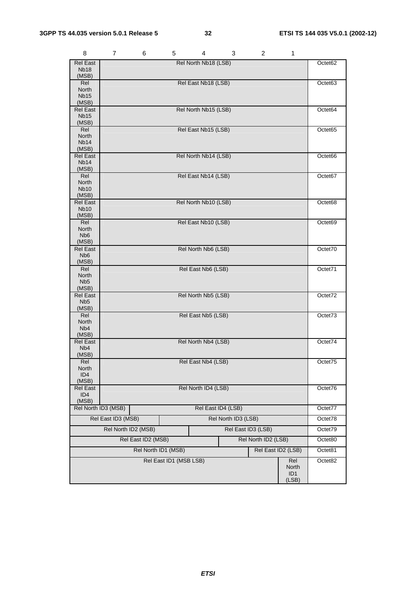| 8                            | 7                                                                | 6 | 5                      | 4                    | 3 | $\overline{c}$     | 1                        |         |
|------------------------------|------------------------------------------------------------------|---|------------------------|----------------------|---|--------------------|--------------------------|---------|
| <b>Rel East</b>              |                                                                  |   |                        | Rel North Nb18 (LSB) |   |                    |                          | Octet62 |
| <b>Nb18</b><br>(MSB)         |                                                                  |   |                        |                      |   |                    |                          |         |
| Rel                          |                                                                  |   |                        | Rel East Nb18 (LSB)  |   |                    |                          | Octet63 |
| North<br><b>Nb15</b>         |                                                                  |   |                        |                      |   |                    |                          |         |
| (MSB)                        |                                                                  |   |                        |                      |   |                    |                          |         |
| <b>Rel East</b>              |                                                                  |   |                        | Rel North Nb15 (LSB) |   |                    |                          | Octet64 |
| <b>Nb15</b><br>(MSB)         |                                                                  |   |                        |                      |   |                    |                          |         |
| Rel                          |                                                                  |   |                        | Rel East Nb15 (LSB)  |   |                    |                          | Octet65 |
| North                        |                                                                  |   |                        |                      |   |                    |                          |         |
| Nb <sub>14</sub><br>(MSB)    |                                                                  |   |                        |                      |   |                    |                          |         |
| <b>Rel East</b>              |                                                                  |   |                        | Rel North Nb14 (LSB) |   |                    |                          | Octet66 |
| Nb <sub>14</sub>             |                                                                  |   |                        |                      |   |                    |                          |         |
| (MSB)<br>Rel                 |                                                                  |   |                        | Rel East Nb14 (LSB)  |   |                    |                          | Octet67 |
| North                        |                                                                  |   |                        |                      |   |                    |                          |         |
| <b>Nb10</b>                  |                                                                  |   |                        |                      |   |                    |                          |         |
| (MSB)<br><b>Rel East</b>     |                                                                  |   |                        | Rel North Nb10 (LSB) |   |                    |                          | Octet68 |
| <b>Nb10</b>                  |                                                                  |   |                        |                      |   |                    |                          |         |
| (MSB)                        |                                                                  |   |                        |                      |   |                    |                          |         |
| Rel<br>North                 |                                                                  |   |                        | Rel East Nb10 (LSB)  |   |                    |                          | Octet69 |
| Nb <sub>6</sub>              |                                                                  |   |                        |                      |   |                    |                          |         |
| (MSB)                        |                                                                  |   |                        |                      |   |                    |                          |         |
| Rel East<br>N <sub>b</sub> 6 |                                                                  |   |                        | Rel North Nb6 (LSB)  |   |                    |                          | Octet70 |
| (MSB)                        |                                                                  |   |                        |                      |   |                    |                          |         |
| Rel                          |                                                                  |   |                        | Rel East Nb6 (LSB)   |   |                    |                          | Octet71 |
| North<br>Nb <sub>5</sub>     |                                                                  |   |                        |                      |   |                    |                          |         |
| (MSB)                        |                                                                  |   |                        |                      |   |                    |                          |         |
| Rel East                     |                                                                  |   |                        | Rel North Nb5 (LSB)  |   |                    |                          | Octet72 |
| N <sub>b5</sub><br>(MSB)     |                                                                  |   |                        |                      |   |                    |                          |         |
| Rel                          |                                                                  |   |                        | Rel East Nb5 (LSB)   |   |                    |                          | Octet73 |
| North                        |                                                                  |   |                        |                      |   |                    |                          |         |
| Nb4<br>(MSB)                 |                                                                  |   |                        |                      |   |                    |                          |         |
| <b>Rel East</b>              |                                                                  |   |                        | Rel North Nb4 (LSB)  |   |                    |                          | Octet74 |
| N <sub>b</sub> 4<br>(MSB)    |                                                                  |   |                        |                      |   |                    |                          |         |
| Rel                          |                                                                  |   |                        | Rel East Nb4 (LSB)   |   |                    |                          | Octet75 |
| North                        |                                                                  |   |                        |                      |   |                    |                          |         |
| ID4<br>(MSB)                 |                                                                  |   |                        |                      |   |                    |                          |         |
| Rel East                     |                                                                  |   |                        | Rel North ID4 (LSB)  |   |                    |                          | Octet76 |
| ID <sub>4</sub>              |                                                                  |   |                        |                      |   |                    |                          |         |
| (MSB)                        |                                                                  |   |                        |                      |   |                    |                          |         |
|                              | Rel East ID4 (LSB)<br>Rel North ID3 (MSB)<br>Rel North ID3 (LSB) |   |                        |                      |   |                    | Octet77                  |         |
|                              | Rel East ID3 (MSB)                                               |   |                        |                      |   |                    |                          | Octet78 |
|                              | Rel North ID2 (MSB)                                              |   |                        |                      |   | Rel East ID3 (LSB) |                          | Octet79 |
|                              | Rel East ID2 (MSB)<br>Rel North ID2 (LSB)                        |   |                        |                      |   |                    |                          | Octet80 |
|                              |                                                                  |   | Rel North ID1 (MSB)    |                      |   | Rel East ID2 (LSB) |                          | Octet81 |
|                              |                                                                  |   | Rel East ID1 (MSB LSB) |                      |   |                    | Rel                      | Octet82 |
|                              |                                                                  |   |                        |                      |   |                    | North                    |         |
|                              |                                                                  |   |                        |                      |   |                    | ID <sub>1</sub><br>(LSB) |         |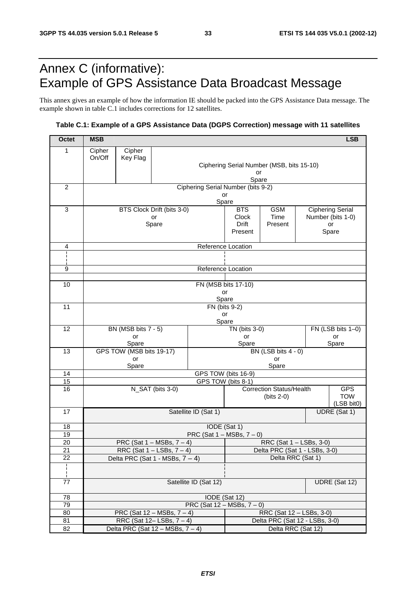# Annex C (informative): Example of GPS Assistance Data Broadcast Message

This annex gives an example of how the information IE should be packed into the GPS Assistance Data message. The example shown in table C.1 includes corrections for 12 satellites.

### **Table C.1: Example of a GPS Assistance Data (DGPS Correction) message with 11 satellites**

| <b>Octet</b>    | <b>MSB</b><br><b>LSB</b>                        |                                  |                                        |                                    |                                |                                           |  |                          |
|-----------------|-------------------------------------------------|----------------------------------|----------------------------------------|------------------------------------|--------------------------------|-------------------------------------------|--|--------------------------|
| 1               | Cipher                                          | Cipher                           |                                        |                                    |                                |                                           |  |                          |
|                 | On/Off                                          | Key Flag                         |                                        |                                    |                                | Ciphering Serial Number (MSB, bits 15-10) |  |                          |
|                 |                                                 |                                  |                                        |                                    | or                             |                                           |  |                          |
|                 |                                                 |                                  |                                        |                                    | Spare                          |                                           |  |                          |
| $\overline{c}$  |                                                 |                                  |                                        | Ciphering Serial Number (bits 9-2) |                                |                                           |  |                          |
|                 |                                                 |                                  |                                        | or<br>Spare                        |                                |                                           |  |                          |
| 3               |                                                 |                                  | BTS Clock Drift (bits 3-0)             |                                    | <b>BTS</b>                     | <b>GSM</b>                                |  | <b>Ciphering Serial</b>  |
|                 |                                                 |                                  | or<br>Spare                            |                                    | Clock<br>Drift                 | Time<br>Present                           |  | Number (bits 1-0)<br>or  |
|                 |                                                 |                                  |                                        |                                    | Present                        |                                           |  | Spare                    |
|                 |                                                 |                                  |                                        |                                    |                                |                                           |  |                          |
| 4               |                                                 |                                  |                                        | Reference Location                 |                                |                                           |  |                          |
|                 |                                                 |                                  |                                        |                                    |                                |                                           |  |                          |
| 9               |                                                 |                                  |                                        | Reference Location                 |                                |                                           |  |                          |
| 10              |                                                 |                                  |                                        | FN (MSB bits 17-10)                |                                |                                           |  |                          |
|                 |                                                 |                                  |                                        | or                                 |                                |                                           |  |                          |
|                 |                                                 |                                  |                                        | Spare                              |                                |                                           |  |                          |
| 11              |                                                 |                                  |                                        | FN (bits 9-2)<br>or                |                                |                                           |  |                          |
|                 |                                                 |                                  |                                        | Spare                              |                                |                                           |  |                          |
| 12              | BN (MSB bits 7 - 5)                             |                                  |                                        |                                    | TN (bits 3-0)                  |                                           |  | FN (LSB bits 1-0)        |
|                 |                                                 | or<br>Spare                      |                                        |                                    | or<br>Spare                    |                                           |  | or<br>Spare              |
| 13              |                                                 | GPS TOW (MSB bits 19-17)         |                                        |                                    |                                | BN (LSB bits 4 - 0)                       |  |                          |
|                 | or                                              |                                  |                                        |                                    |                                | or                                        |  |                          |
| 14              | Spare<br>Spare<br>GPS TOW (bits 16-9)           |                                  |                                        |                                    |                                |                                           |  |                          |
| 15              | GPS TOW (bits 8-1)                              |                                  |                                        |                                    |                                |                                           |  |                          |
| 16              | N_SAT (bits 3-0)                                |                                  |                                        |                                    |                                | <b>Correction Status/Health</b>           |  | <b>GPS</b>               |
|                 |                                                 |                                  |                                        |                                    |                                | $(bits 2-0)$                              |  | <b>TOW</b><br>(LSB bit0) |
| 17              | Satellite ID (Sat 1)                            |                                  |                                        |                                    |                                |                                           |  | UDRE (Sat 1)             |
|                 |                                                 |                                  |                                        |                                    |                                |                                           |  |                          |
| 18<br>19        | IODE (Sat 1)<br>PRC (Sat $1 - MSBs$ , $7 - 0$ ) |                                  |                                        |                                    |                                |                                           |  |                          |
| 20              | PRC (Sat $1 - MSBs$ , $7 - 4$ )                 |                                  |                                        |                                    | RRC (Sat 1 - LSBs, 3-0)        |                                           |  |                          |
| $\overline{21}$ | RRC (Sat $1 -$ LSBs, $7 - 4$ )                  |                                  |                                        | Delta PRC (Sat 1 - LSBs, 3-0)      |                                |                                           |  |                          |
| 22              | Delta PRC (Sat 1 - MSBs, $7 - 4$ )              |                                  |                                        |                                    | Delta RRC (Sat 1)              |                                           |  |                          |
| Ł<br>Ł          |                                                 |                                  |                                        |                                    |                                |                                           |  |                          |
| 77              | Satellite ID (Sat 12)                           |                                  |                                        |                                    |                                |                                           |  | UDRE (Sat 12)            |
| 78              | IODE (Sat 12)                                   |                                  |                                        |                                    |                                |                                           |  |                          |
| 79              |                                                 | PRC (Sat $12 - MSBs$ , $7 - 0$ ) |                                        |                                    |                                |                                           |  |                          |
| 80              | PRC (Sat $12 - MSBs$ , $7 - 4$ )                |                                  |                                        |                                    | RRC (Sat 12 - LSBs, 3-0)       |                                           |  |                          |
| 81              |                                                 |                                  | RRC (Sat $12 -$ LSBs, $7 - 4$ )        |                                    | Delta PRC (Sat 12 - LSBs, 3-0) |                                           |  |                          |
| 82              |                                                 |                                  | Delta PRC (Sat $12 - MSBs$ , $7 - 4$ ) |                                    | Delta RRC (Sat 12)             |                                           |  |                          |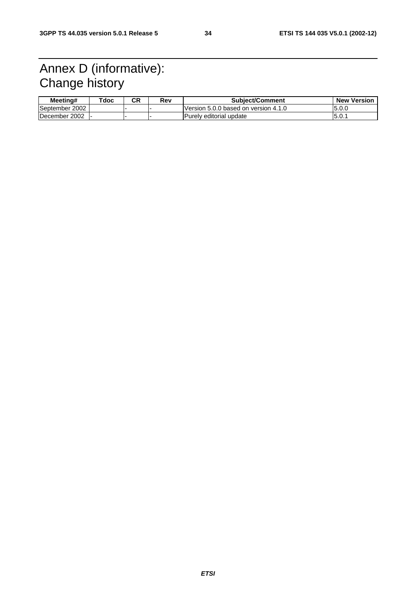# Annex D (informative): Change history

| Meetina#              | Tdoc | СR | Rev | <b>Subject/Comment</b>               | <b>New Version</b> |
|-----------------------|------|----|-----|--------------------------------------|--------------------|
| September 2002        |      |    |     | Version 5.0.0 based on version 4.1.0 | 15.0.0             |
| <b>IDecember 2002</b> |      |    |     | <b>Purely editorial update</b>       | 15.0.7             |